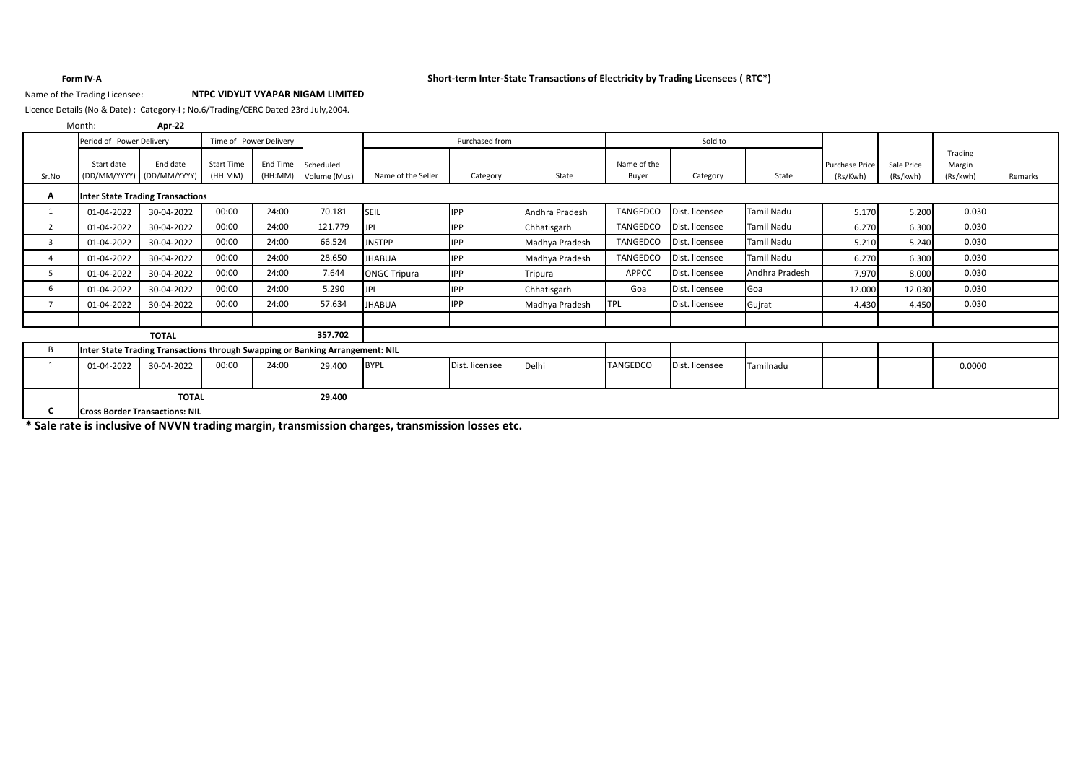# **Form IV-A Short-term Inter-State Transactions of Electricity by Trading Licensees ( RTC\*)**

# Name of the Trading Licensee: **NTPC VIDYUT VYAPAR NIGAM LIMITED**

Licence Details (No & Date) : Category-I ; No.6/Trading/CERC Dated 23rd July,2004.

**Apr-22** Month:

|                | Period of Power Delivery              |                                                                               |                   | Time of Power Delivery |                           |                     | Purchased from | Sold to        |                 |                |                   |                                   |                        |                    |         |
|----------------|---------------------------------------|-------------------------------------------------------------------------------|-------------------|------------------------|---------------------------|---------------------|----------------|----------------|-----------------|----------------|-------------------|-----------------------------------|------------------------|--------------------|---------|
|                | Start date                            | End date                                                                      | <b>Start Time</b> | End Time               |                           |                     |                |                | Name of the     |                |                   |                                   |                        | Trading            |         |
| Sr.No          |                                       | (DD/MM/YYYY) (DD/MM/YYYY)                                                     | (HH:MM)           | (HH:MM)                | Scheduled<br>Volume (Mus) | Name of the Seller  | Category       | State          | Buyer           | Category       | State             | <b>Purchase Price</b><br>(Rs/Kwh) | Sale Price<br>(Rs/kwh) | Margin<br>(Rs/kwh) | Remarks |
| А              |                                       | <b>Inter State Trading Transactions</b>                                       |                   |                        |                           |                     |                |                |                 |                |                   |                                   |                        |                    |         |
|                | 01-04-2022                            | 30-04-2022                                                                    | 00:00             | 24:00                  | 70.181                    | SEIL                | <b>IPP</b>     | Andhra Pradesh | TANGEDCO        | Dist. licensee | <b>Tamil Nadu</b> | 5.170                             | 5.200                  | 0.030              |         |
| $\overline{2}$ | 01-04-2022                            | 30-04-2022                                                                    | 00:00             | 24:00                  | 121.779                   | <b>JPL</b>          | <b>IPP</b>     | Chhatisgarh    | <b>TANGEDCO</b> | Dist. licensee | Tamil Nadu        | 6.270                             | 6.300                  | 0.030              |         |
| 3              | 01-04-2022                            | 30-04-2022                                                                    | 00:00             | 24:00                  | 66.524                    | <b>JNSTPP</b>       | <b>IPP</b>     | Madhya Pradesh | <b>TANGEDCO</b> | Dist. licensee | <b>Tamil Nadu</b> | 5.210                             | 5.240                  | 0.030              |         |
| 4              | 01-04-2022                            | 30-04-2022                                                                    | 00:00             | 24:00                  | 28.650                    | JHABUA              | <b>IPP</b>     | Madhya Pradesh | <b>TANGEDCO</b> | Dist. licensee | <b>Tamil Nadu</b> | 6.270                             | 6.300                  | 0.030              |         |
| 5              | 01-04-2022                            | 30-04-2022                                                                    | 00:00             | 24:00                  | 7.644                     | <b>ONGC Tripura</b> | <b>IPP</b>     | Tripura        | APPCC           | Dist. licensee | Andhra Pradesh    | 7.970                             | 8.000                  | 0.030              |         |
| 6              | 01-04-2022                            | 30-04-2022                                                                    | 00:00             | 24:00                  | 5.290                     | JPL                 | <b>IPP</b>     | Chhatisgarh    | Goa             | Dist. licensee | Goa               | 12.000                            | 12.030                 | 0.030              |         |
|                | 01-04-2022                            | 30-04-2022                                                                    | 00:00             | 24:00                  | 57.634                    | <b>JHABUA</b>       | <b>IPP</b>     | Madhya Pradesh | <b>TPL</b>      | Dist. licensee | Gujrat            | 4.430                             | 4.450                  | 0.030              |         |
|                |                                       |                                                                               |                   |                        |                           |                     |                |                |                 |                |                   |                                   |                        |                    |         |
|                |                                       | <b>TOTAL</b>                                                                  |                   |                        | 357.702                   |                     |                |                |                 |                |                   |                                   |                        |                    |         |
| B              |                                       | Inter State Trading Transactions through Swapping or Banking Arrangement: NIL |                   |                        |                           |                     |                |                |                 |                |                   |                                   |                        |                    |         |
|                | 01-04-2022                            | 30-04-2022                                                                    | 00:00             | 24:00                  | 29.400                    | <b>BYPL</b>         | Dist. licensee | Delhi          | TANGEDCO        | Dist. licensee | Tamilnadu         |                                   |                        | 0.0000             |         |
|                |                                       |                                                                               |                   |                        |                           |                     |                |                |                 |                |                   |                                   |                        |                    |         |
|                |                                       | <b>TOTAL</b>                                                                  |                   |                        | 29.400                    |                     |                |                |                 |                |                   |                                   |                        |                    |         |
|                | <b>Cross Border Transactions: NIL</b> |                                                                               |                   |                        |                           |                     |                |                |                 |                |                   |                                   |                        |                    |         |

**\* Sale rate is inclusive of NVVN trading margin, transmission charges, transmission losses etc.**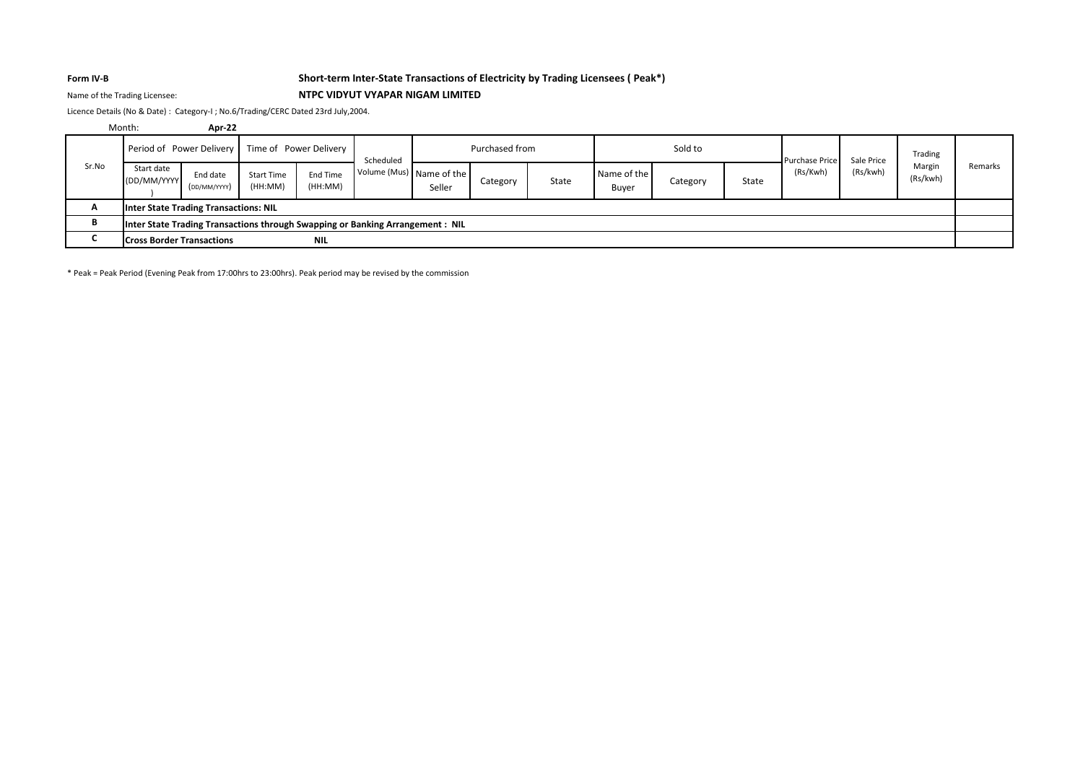# **Form IV-B Short-term Inter-State Transactions of Electricity by Trading Licensees ( Peak\*)**

# Name of the Trading Licensee: **NTPC VIDYUT VYAPAR NIGAM LIMITED**

Licence Details (No & Date) : Category-I ; No.6/Trading/CERC Dated 23rd July,2004.

|              | Month:                           | <b>Apr-22</b>                                                                 |                              |                            |           |                                    |                |       |                      |          |       |                       |            |                    |         |
|--------------|----------------------------------|-------------------------------------------------------------------------------|------------------------------|----------------------------|-----------|------------------------------------|----------------|-------|----------------------|----------|-------|-----------------------|------------|--------------------|---------|
|              |                                  | Period of Power Delivery                                                      | Time of Power Delivery       |                            | Scheduled |                                    | Purchased from |       |                      | Sold to  |       | <b>Purchase Price</b> | Sale Price | Trading            |         |
| Sr.No        | Start date<br>(DD/MM/YYYY        | End date<br>(DD/MM/YYYY)                                                      | <b>Start Time</b><br>(HH:MM) | <b>End Time</b><br>(HH:MM) |           | Volume (Mus) Name of the<br>Seller | Category       | State | Name of the<br>Buyer | Category | State | (Rs/Kwh)              | (Rs/kwh)   | Margin<br>(Rs/kwh) | Remarks |
| $\mathbf{r}$ |                                  | <b>Inter State Trading Transactions: NIL</b>                                  |                              |                            |           |                                    |                |       |                      |          |       |                       |            |                    |         |
|              |                                  | Inter State Trading Transactions through Swapping or Banking Arrangement: NIL |                              |                            |           |                                    |                |       |                      |          |       |                       |            |                    |         |
|              | <b>Cross Border Transactions</b> |                                                                               |                              | <b>NIL</b>                 |           |                                    |                |       |                      |          |       |                       |            |                    |         |

\* Peak = Peak Period (Evening Peak from 17:00hrs to 23:00hrs). Peak period may be revised by the commission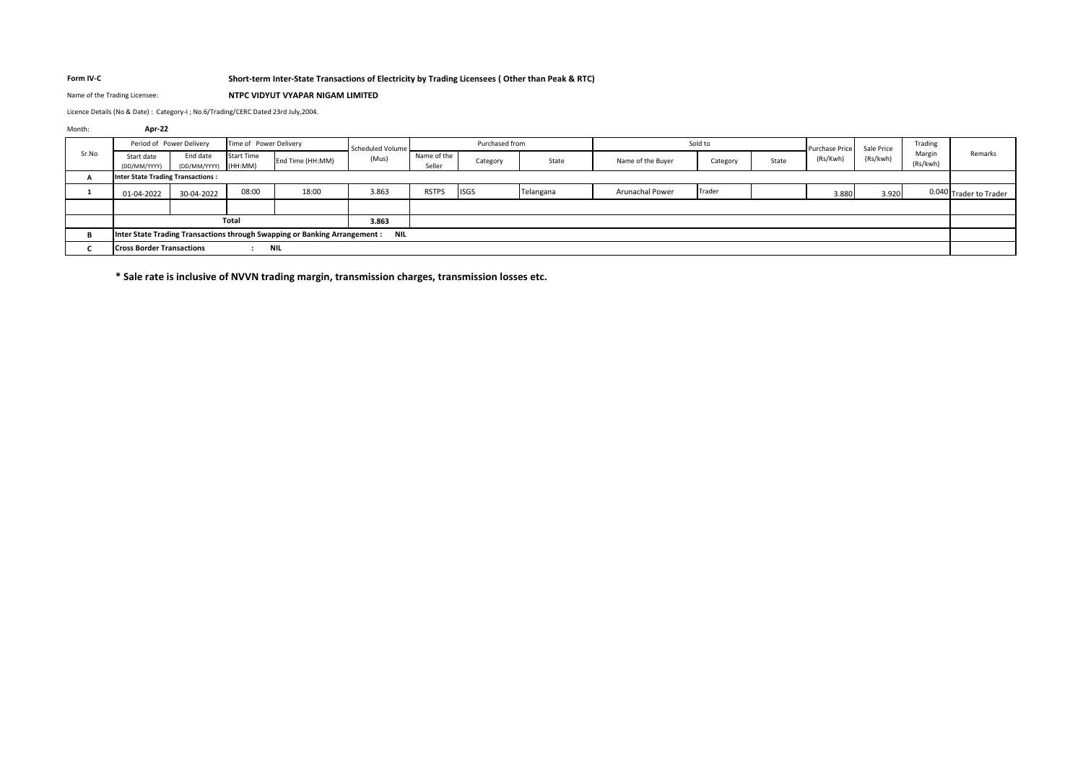# **Form IV-C Short-term Inter-State Transactions of Electricity by Trading Licensees ( Other than Peak & RTC)**

### Name of the Trading Licensee: **NTPC VIDYUT VYAPAR NIGAM LIMITED**

Licence Details (No & Date) : Category-I ; No.6/Trading/CERC Dated 23rd July,2004.

| Month: | Apr-22                                             |                                  |                   |                                                                            |            |                       |             |           |                        |          |                       |            |          |                    |                        |
|--------|----------------------------------------------------|----------------------------------|-------------------|----------------------------------------------------------------------------|------------|-----------------------|-------------|-----------|------------------------|----------|-----------------------|------------|----------|--------------------|------------------------|
|        | Period of Power Delivery<br>Time of Power Delivery |                                  |                   | Scheduled Volume                                                           |            | Purchased from        |             |           | Sold to                |          | <b>Purchase Price</b> | Sale Price | Trading  |                    |                        |
| Sr.No  | Start date<br>(DD/MM/YYYY)                         | End date<br>(DD/MM/YYYY) (HH:MM) | <b>Start Time</b> | End Time (HH:MM)                                                           | (Mus)      | Name of the<br>Seller | Category    | State     | Name of the Buyer      | Category | State                 | (Rs/Kwh)   | (Rs/kwh) | Margin<br>(Rs/kwh) | Remarks                |
|        | <b>Inter State Trading Transactions:</b>           |                                  |                   |                                                                            |            |                       |             |           |                        |          |                       |            |          |                    |                        |
|        | 01-04-2022                                         | 30-04-2022                       | 08:00             | 18:00                                                                      | 3.863      | <b>RSTPS</b>          | <b>ISGS</b> | Telangana | <b>Arunachal Power</b> | Trader   |                       | 3.880      | 3.920    |                    | 0.040 Trader to Trader |
|        |                                                    |                                  |                   |                                                                            |            |                       |             |           |                        |          |                       |            |          |                    |                        |
|        |                                                    |                                  | Total             |                                                                            | 3.863      |                       |             |           |                        |          |                       |            |          |                    |                        |
|        |                                                    |                                  |                   | Inter State Trading Transactions through Swapping or Banking Arrangement : | <b>NIL</b> |                       |             |           |                        |          |                       |            |          |                    |                        |
|        | <b>Cross Border Transactions</b>                   |                                  |                   | NIL                                                                        |            |                       |             |           |                        |          |                       |            |          |                    |                        |

**\* Sale rate is inclusive of NVVN trading margin, transmission charges, transmission losses etc.**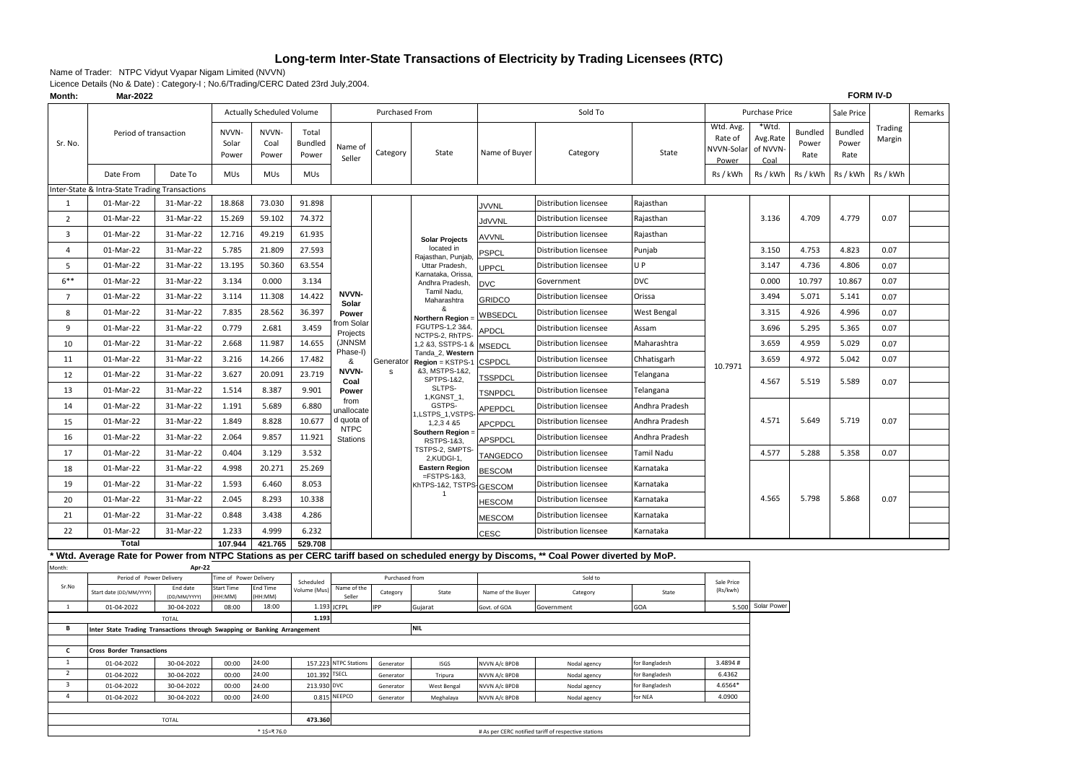# **Long-term Inter-State Transactions of Electricity by Trading Licensees (RTC)**

Name of Trader: NTPC Vidyut Vyapar Nigam Limited (NVVN)

| Month:                       | Mar-2022                                                                 |                            |                         |                                  |                           |                                |                |                                               |                                                      |                                                                                                                                        |                | <b>FORM IV-D</b>                            |                                       |                          |                                 |                   |         |
|------------------------------|--------------------------------------------------------------------------|----------------------------|-------------------------|----------------------------------|---------------------------|--------------------------------|----------------|-----------------------------------------------|------------------------------------------------------|----------------------------------------------------------------------------------------------------------------------------------------|----------------|---------------------------------------------|---------------------------------------|--------------------------|---------------------------------|-------------------|---------|
|                              |                                                                          |                            |                         | <b>Actually Scheduled Volume</b> |                           |                                | Purchased From |                                               |                                                      | Sold To                                                                                                                                |                |                                             | <b>Purchase Price</b>                 |                          | Sale Price                      |                   | Remarks |
| Sr. No.                      | Period of transaction                                                    |                            | NVVN-<br>Solar<br>Power | NVVN-<br>Coal<br>Power           | Total<br>Bundled<br>Power | Name of<br>Seller              | Category       | State                                         | Name of Buyer                                        | Category                                                                                                                               | State          | Wtd. Avg.<br>Rate of<br>NVVN-Solar<br>Power | *Wtd.<br>Avg.Rate<br>of NVVN-<br>Coal | Bundled<br>Power<br>Rate | <b>Bundled</b><br>Power<br>Rate | Trading<br>Margin |         |
|                              | Date From                                                                | Date To                    | MUs                     | <b>MUs</b>                       | MUs                       |                                |                |                                               |                                                      |                                                                                                                                        |                | Rs / kWh                                    | Rs / kWh                              | Rs / kWh                 | Rs / kWh                        | Rs / kWh          |         |
|                              | Inter-State & Intra-State Trading Transactions                           |                            |                         |                                  |                           |                                |                |                                               |                                                      |                                                                                                                                        |                |                                             |                                       |                          |                                 |                   |         |
| 1                            | 01-Mar-22                                                                | 31-Mar-22                  | 18.868                  | 73.030                           | 91.898                    |                                |                |                                               | <b>JVVNL</b>                                         | <b>Distribution licensee</b>                                                                                                           | Rajasthan      |                                             |                                       |                          |                                 |                   |         |
| $\overline{2}$               | 01-Mar-22                                                                | 31-Mar-22                  | 15.269                  | 59.102                           | 74.372                    |                                |                |                                               | JdVVNL                                               | <b>Distribution licensee</b>                                                                                                           | Rajasthan      |                                             | 3.136                                 | 4.709                    | 4.779                           | 0.07              |         |
| 3                            | 01-Mar-22                                                                | 31-Mar-22                  | 12.716                  | 49.219                           | 61.935                    |                                |                | <b>Solar Projects</b>                         | <b>AVVNL</b>                                         | Distribution licensee                                                                                                                  | Rajasthan      |                                             |                                       |                          |                                 |                   |         |
| 4                            | 01-Mar-22                                                                | 31-Mar-22                  | 5.785                   | 21.809                           | 27.593                    |                                |                | located in                                    | <b>PSPCL</b>                                         | Distribution licensee                                                                                                                  | Punjab         |                                             | 3.150                                 | 4.753                    | 4.823                           | 0.07              |         |
| 5                            | 01-Mar-22                                                                | 31-Mar-22                  | 13.195                  | 50.360                           | 63.554                    |                                |                | Rajasthan, Punjab<br>Uttar Pradesh,           | UPPCL                                                | Distribution licensee                                                                                                                  | U P            |                                             | 3.147                                 | 4.736                    | 4.806                           | 0.07              |         |
| $6***$                       | 01-Mar-22                                                                | 31-Mar-22                  | 3.134                   | 0.000                            | 3.134                     |                                |                | Karnataka, Orissa,<br>Andhra Pradesh,         | <b>DVC</b>                                           | Government                                                                                                                             | <b>DVC</b>     |                                             | 0.000                                 | 10.797                   | 10.867                          | 0.07              |         |
| $\overline{7}$               | 01-Mar-22                                                                | 31-Mar-22                  | 3.114                   | 11.308                           | 14.422                    | NVVN-                          |                | Tamil Nadu,<br>Maharashtra                    | <b>GRIDCO</b>                                        | Distribution licensee                                                                                                                  | Orissa         |                                             | 3.494                                 | 5.071                    | 5.141                           | 0.07              |         |
| 8                            | 01-Mar-22                                                                | 31-Mar-22                  | 7.835                   | 28.562                           | 36.397                    | Solar<br>Power                 |                | &                                             | WBSEDCL                                              | Distribution licensee                                                                                                                  | West Bengal    |                                             | 3.315                                 | 4.926                    | 4.996                           | 0.07              |         |
| 9                            | 01-Mar-22                                                                | 31-Mar-22                  | 0.779                   | 2.681                            | 3.459                     | rom Solar<br>Projects          |                | Northern Region<br>FGUTPS-1,2 3&4,            | PDCL                                                 | Distribution licensee                                                                                                                  | Assam          |                                             | 3.696                                 | 5.295                    | 5.365                           | 0.07              |         |
| 10                           | 01-Mar-22                                                                | 31-Mar-22                  | 2.668                   | 11.987                           | 14.655                    | (JNNSM                         |                | NCTPS-2, RhTPS-<br>1,2 &3, SSTPS-1 &          | <b>MSEDCL</b>                                        | <b>Distribution licensee</b>                                                                                                           | Maharashtra    |                                             | 3.659                                 | 4.959                    | 5.029                           | 0.07              |         |
| 11                           | 01-Mar-22                                                                | 31-Mar-22                  | 3.216                   | 14.266                           | 17.482                    | Phase-I)<br>&                  | Generator      | Tanda_2, Western<br>Region = KSTPS-1          | <b>CSPDCL</b>                                        | Distribution licensee                                                                                                                  | Chhatisgarh    |                                             | 3.659                                 | 4.972                    | 5.042                           | 0.07              |         |
| 12                           | 01-Mar-22                                                                | 31-Mar-22                  | 3.627                   | 20.091                           | 23.719                    | <b>NVVN-</b>                   | $\mathbf s$    | &3, MSTPS-1&2,<br>SPTPS-1&2,                  | <b>TSSPDCL</b>                                       | <b>Distribution licensee</b>                                                                                                           | Telangana      | 10.7971                                     |                                       |                          |                                 |                   |         |
| 13                           | 01-Mar-22                                                                | 31-Mar-22                  | 1.514                   | 8.387                            | 9.901                     | Coal<br>Power                  |                | SLTPS-                                        | <b>TSNPDCL</b>                                       | Distribution licensee                                                                                                                  | Telangana      |                                             | 4.567                                 | 5.519                    | 5.589                           | 0.07              |         |
| 14                           | 01-Mar-22                                                                | 31-Mar-22                  | 1.191                   | 5.689                            | 6.880                     | from<br>unallocate             |                | 1, KGNST_1,<br>GSTPS-                         | APEPDCL                                              | Distribution licensee                                                                                                                  | Andhra Pradesh |                                             |                                       |                          |                                 |                   |         |
| 15                           | 01-Mar-22                                                                | 31-Mar-22                  | 1.849                   | 8.828                            | 10.677                    | d quota of                     |                | I,LSTPS_1,VSTPS<br>1,2,3 4 & 5                | APCPDCL                                              | Distribution licensee                                                                                                                  | Andhra Pradesh |                                             | 4.571                                 | 5.649                    | 5.719                           | 0.07              |         |
| 16                           | 01-Mar-22                                                                | 31-Mar-22                  | 2.064                   | 9.857                            | 11.921                    | <b>NTPC</b><br><b>Stations</b> |                | Southern Region<br>RSTPS-1&3,                 | <b>APSPDCL</b>                                       | Distribution licensee                                                                                                                  | Andhra Pradesh |                                             |                                       |                          |                                 |                   |         |
| 17                           | 01-Mar-22                                                                | 31-Mar-22                  | 0.404                   | 3.129                            | 3.532                     |                                |                | TSTPS-2, SMPTS-                               | <b>TANGEDCO</b>                                      | Distribution licensee                                                                                                                  | Tamil Nadu     |                                             | 4.577                                 | 5.288                    | 5.358                           | 0.07              |         |
| 18                           | 01-Mar-22                                                                | 31-Mar-22                  | 4.998                   | 20.271                           | 25.269                    |                                |                | 2,KUDGI-1,<br><b>Eastern Region</b>           | <b>BESCOM</b>                                        | Distribution licensee                                                                                                                  | Karnataka      |                                             |                                       |                          |                                 |                   |         |
| 19                           | 01-Mar-22                                                                | 31-Mar-22                  | 1.593                   | 6.460                            | 8.053                     |                                |                | $=$ FSTPS-1&3,<br><b>KhTPS-1&amp;2, TSTPS</b> | <b>GESCOM</b>                                        | Distribution licensee                                                                                                                  | Karnataka      |                                             |                                       |                          |                                 |                   |         |
| 20                           | 01-Mar-22                                                                | 31-Mar-22                  | 2.045                   | 8.293                            | 10.338                    |                                |                | -1                                            | <b>HESCOM</b>                                        | Distribution licensee                                                                                                                  | Karnataka      |                                             | 4.565                                 | 5.798                    | 5.868                           | 0.07              |         |
| 21                           | 01-Mar-22                                                                | 31-Mar-22                  | 0.848                   | 3.438                            | 4.286                     |                                |                |                                               | <b>MESCOM</b>                                        | Distribution licensee                                                                                                                  | Karnataka      |                                             |                                       |                          |                                 |                   |         |
| 22                           | 01-Mar-22                                                                | 31-Mar-22                  | 1.233                   | 4.999                            | 6.232                     |                                |                |                                               | CESC                                                 | Distribution licensee                                                                                                                  | Karnataka      |                                             |                                       |                          |                                 |                   |         |
|                              | <b>Total</b>                                                             |                            | 107.944                 | 421.765                          | 529.708                   |                                |                |                                               |                                                      |                                                                                                                                        |                |                                             |                                       |                          |                                 |                   |         |
|                              |                                                                          |                            |                         |                                  |                           |                                |                |                                               |                                                      | Wtd. Average Rate for Power from NTPC Stations as per CERC tariff based on scheduled energy by Discoms, ** Coal Power diverted by MoP. |                |                                             |                                       |                          |                                 |                   |         |
| Month:                       | Period of Power Delivery                                                 | Apr-22                     | Fime of Power Delivery  |                                  |                           |                                | Purchased from |                                               |                                                      | Sold to                                                                                                                                |                |                                             |                                       |                          |                                 |                   |         |
| Sr.No                        | Start date (DD/MM/YYYY)                                                  | <b>End date</b>            | Start Time              | End Time                         | Scheduled<br>Volume (Mus) | Name of the                    | Category       | State                                         | Name of the Buyer                                    | Category                                                                                                                               | State          | Sale Price<br>(Rs/kwh)                      |                                       |                          |                                 |                   |         |
| 1                            | 01-04-2022                                                               | (DD/MM/YYYY)<br>30-04-2022 | H:MM<br>08:00           | HH:MM)<br>18:00                  |                           | Seller<br>1.193 JCFPL          | IPP            | Gujarat                                       | Govt. of GOA                                         | Government                                                                                                                             | GOA            |                                             | 5.500 Solar Power                     |                          |                                 |                   |         |
|                              |                                                                          | <b>TOTAL</b>               |                         |                                  | 1.193                     |                                |                |                                               |                                                      |                                                                                                                                        |                |                                             |                                       |                          |                                 |                   |         |
| B                            | Inter State Trading Transactions through Swapping or Banking Arrangement |                            |                         |                                  |                           |                                |                | <b>NIL</b>                                    |                                                      |                                                                                                                                        |                |                                             |                                       |                          |                                 |                   |         |
| $\mathbf{c}$                 | <b>Cross Border Transactions</b>                                         |                            |                         |                                  |                           |                                |                |                                               |                                                      |                                                                                                                                        |                |                                             |                                       |                          |                                 |                   |         |
| <sup>1</sup>                 | 01-04-2022                                                               | 30-04-2022                 | 00:00                   | 24:00                            |                           | 157.223 NTPC Stations          | Generator      | ISGS                                          | NVVN A/c BPDB                                        | Nodal agency                                                                                                                           | for Bangladesh | 3.4894#                                     |                                       |                          |                                 |                   |         |
| $\overline{2}$               | 01-04-2022                                                               | 30-04-2022                 | 00:00                   | 24:00                            | 101.392 TSECL             |                                | Generator      | Tripura                                       | NVVN A/c BPDB                                        | Nodal agency                                                                                                                           | for Bangladesh | 6.4362                                      |                                       |                          |                                 |                   |         |
| $\overline{\mathbf{3}}$      | 01-04-2022                                                               | 30-04-2022                 | 00:00                   | 24:00                            | 213.930 DVC               |                                | Generator      | West Bengal                                   | NVVN A/c BPDB                                        | Nodal agency                                                                                                                           | for Bangladesh | 4.6564*                                     |                                       |                          |                                 |                   |         |
| $\overline{4}$               | 01-04-2022                                                               | 30-04-2022                 | 00:00                   | 24:00                            |                           | 0.815 NEEPCO                   | Generator      | Meghalaya                                     | NVVN A/c BPDB                                        | Nodal agency                                                                                                                           | for NEA        | 4.0900                                      |                                       |                          |                                 |                   |         |
| 473.360                      |                                                                          |                            |                         |                                  |                           |                                |                |                                               |                                                      |                                                                                                                                        |                |                                             |                                       |                          |                                 |                   |         |
| <b>TOTAL</b><br>* 1\$=₹ 76.0 |                                                                          |                            |                         |                                  |                           |                                |                |                                               | # As per CERC notified tariff of respective stations |                                                                                                                                        |                |                                             |                                       |                          |                                 |                   |         |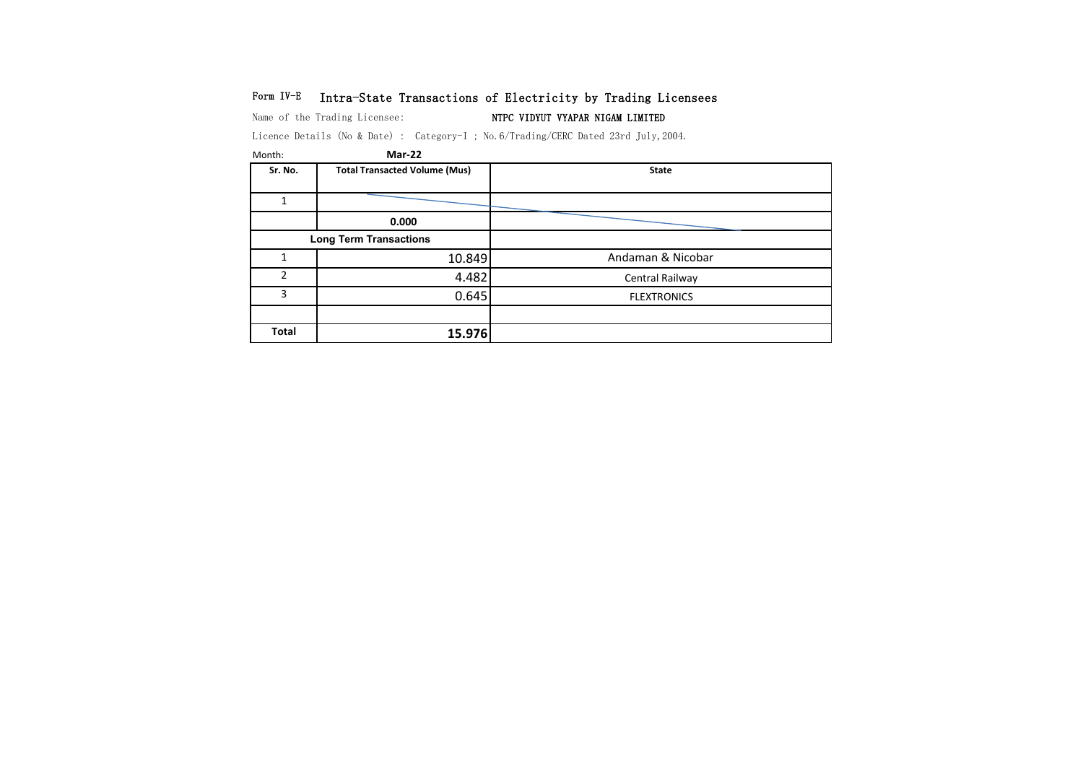# Form IV-E Intra-State Transactions of Electricity by Trading Licensees

Name of the Trading Licensee: NTPC VIDYUT VYAPAR NIGAM LIMITED

| Month:         | Mar-22                               |                    |
|----------------|--------------------------------------|--------------------|
| Sr. No.        | <b>Total Transacted Volume (Mus)</b> | <b>State</b>       |
| 1              |                                      |                    |
|                | 0.000                                |                    |
|                | <b>Long Term Transactions</b>        |                    |
| 1              | 10.849                               | Andaman & Nicobar  |
| $\mathfrak{p}$ | 4.482                                | Central Railway    |
| 3              | 0.645                                | <b>FLEXTRONICS</b> |
|                |                                      |                    |
| Total          | 15.976                               |                    |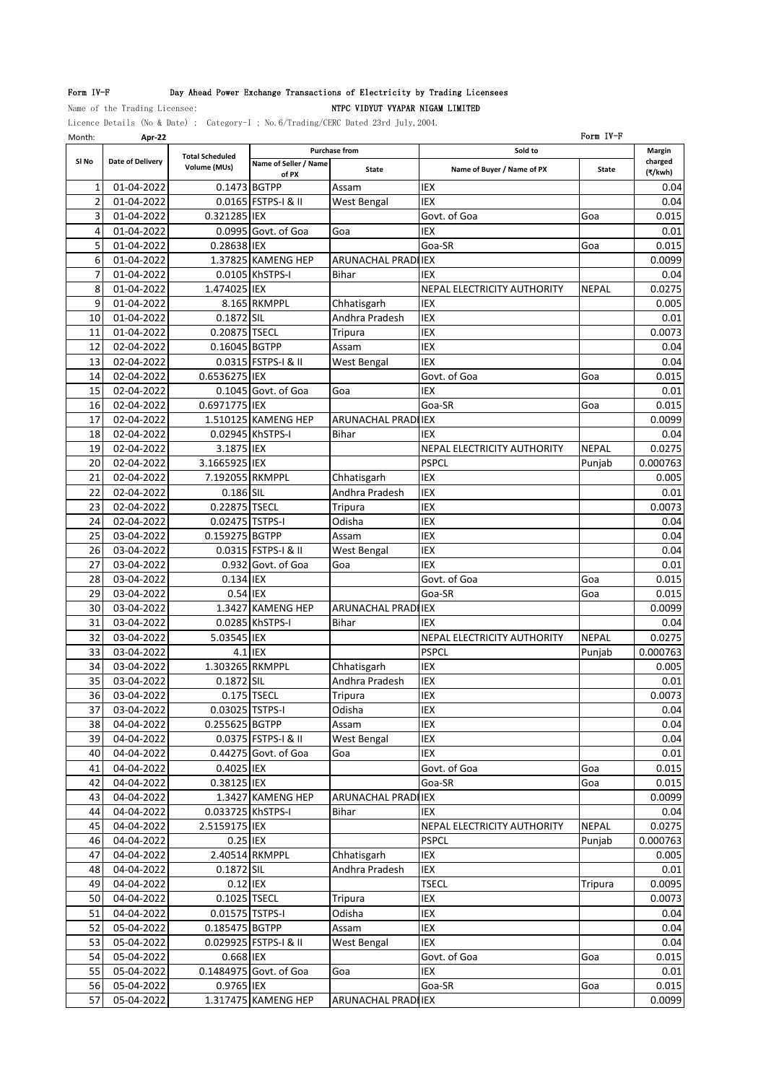# Form IV-F Day Ahead Power Exchange Transactions of Electricity by Trading Licensees

Name of the Trading Licensee: NTPC VIDYUT VYAPAR NIGAM LIMITED

| Month:         | Apr-22                   |                        |                        |                               |                             | Form IV-F    |                   |
|----------------|--------------------------|------------------------|------------------------|-------------------------------|-----------------------------|--------------|-------------------|
| SI No          | Date of Delivery         | <b>Total Scheduled</b> | Name of Seller / Name  | <b>Purchase from</b>          | Sold to                     |              | Margin<br>charged |
|                |                          | Volume (MUs)           | of PX                  | State                         | Name of Buyer / Name of PX  | State        | (₹/kwh)           |
| 1              | 01-04-2022               |                        | 0.1473 BGTPP           | Assam                         | <b>IEX</b>                  |              | 0.04              |
| $\overline{2}$ | 01-04-2022               |                        | 0.0165 FSTPS-I & II    | West Bengal                   | <b>IEX</b>                  |              | 0.04              |
| 3              | 01-04-2022               | 0.321285 IEX           |                        |                               | Govt. of Goa                | Goa          | 0.015             |
| 4              | 01-04-2022               |                        | 0.0995 Govt. of Goa    | Goa                           | <b>IEX</b>                  |              | 0.01              |
| 5              | 01-04-2022               | 0.28638 IEX            |                        |                               | Goa-SR                      | Goa          | 0.015             |
| 6              | 01-04-2022               |                        | 1.37825 KAMENG HEP     | ARUNACHAL PRADI IEX           |                             |              | 0.0099            |
| 7              | 01-04-2022               |                        | 0.0105 KhSTPS-I        | <b>Bihar</b>                  | IEX                         |              | 0.04              |
| 8<br>9         | 01-04-2022               | 1.474025 IEX           |                        |                               | NEPAL ELECTRICITY AUTHORITY | <b>NEPAL</b> | 0.0275            |
| 10             | 01-04-2022<br>01-04-2022 | 0.1872 SIL             | 8.165 RKMPPL           | Chhatisgarh<br>Andhra Pradesh | IEX<br>IEX                  |              | 0.005<br>0.01     |
| 11             | 01-04-2022               | 0.20875 TSECL          |                        | Tripura                       | <b>IEX</b>                  |              | 0.0073            |
| 12             | 02-04-2022               | 0.16045 BGTPP          |                        | Assam                         | IEX                         |              | 0.04              |
| 13             | 02-04-2022               |                        | 0.0315 FSTPS-I & II    | West Bengal                   | IEX                         |              | 0.04              |
| 14             | 02-04-2022               | 0.6536275 IEX          |                        |                               | Govt. of Goa                | Goa          | 0.015             |
| 15             | 02-04-2022               |                        | 0.1045 Govt. of Goa    | Goa                           | IEX                         |              | 0.01              |
| 16             | 02-04-2022               | 0.6971775 IEX          |                        |                               | Goa-SR                      | Goa          | 0.015             |
| 17             | 02-04-2022               |                        | 1.510125 KAMENG HEP    | ARUNACHAL PRADIIEX            |                             |              | 0.0099            |
| 18             | 02-04-2022               |                        | 0.02945 KhSTPS-I       | Bihar                         | IEX                         |              | 0.04              |
| 19             | 02-04-2022               | 3.1875 IEX             |                        |                               | NEPAL ELECTRICITY AUTHORITY | <b>NEPAL</b> | 0.0275            |
| 20             | 02-04-2022               | 3.1665925 IEX          |                        |                               | <b>PSPCL</b>                | Punjab       | 0.000763          |
| 21             | 02-04-2022               | 7.192055 RKMPPL        |                        | Chhatisgarh                   | IEX                         |              | 0.005             |
| 22             | 02-04-2022               | 0.186 SIL              |                        | Andhra Pradesh                | IEX                         |              | 0.01              |
| 23             | 02-04-2022               | 0.22875 TSECL          |                        | Tripura                       | IEX                         |              | 0.0073            |
| 24             | 02-04-2022               | 0.02475 TSTPS-I        |                        | Odisha                        | <b>IEX</b>                  |              | 0.04              |
| 25             | 03-04-2022               | 0.159275 BGTPP         |                        | Assam                         | IEX                         |              | 0.04              |
| 26             | 03-04-2022               |                        | 0.0315 FSTPS-I & II    | West Bengal                   | IEX                         |              | 0.04              |
| 27             | 03-04-2022               |                        | 0.932 Govt. of Goa     | Goa                           | <b>IEX</b>                  |              | 0.01              |
| 28             | 03-04-2022               | 0.134 IEX              |                        |                               | Govt. of Goa                | Goa          | 0.015             |
| 29             | 03-04-2022               | 0.54 IEX               |                        |                               | Goa-SR                      | Goa          | 0.015             |
| 30             | 03-04-2022               |                        | 1.3427 KAMENG HEP      | <b>ARUNACHAL PRADI IEX</b>    |                             |              | 0.0099            |
| 31             | 03-04-2022               |                        | 0.0285 KhSTPS-I        | <b>Bihar</b>                  | IEX                         |              | 0.04              |
| 32             | 03-04-2022               | 5.03545 IEX            |                        |                               | NEPAL ELECTRICITY AUTHORITY | <b>NEPAL</b> | 0.0275            |
| 33             | 03-04-2022               |                        | $4.1$ IIEX             |                               | <b>PSPCL</b>                | Punjab       | 0.000763          |
| 34             | 03-04-2022               | 1.303265 RKMPPL        |                        | Chhatisgarh                   | IEX                         |              | 0.005             |
| 35             | 03-04-2022               | 0.1872 SIL             |                        | Andhra Pradesh                | IEX                         |              | 0.01              |
| 36             | 03-04-2022               |                        | 0.175 TSECL            | Tripura                       | IEX                         |              | 0.0073            |
| 37             | 03-04-2022               | 0.03025 TSTPS-I        |                        | Odisha                        | <b>IEX</b>                  |              | 0.04              |
| 38             | 04-04-2022               | 0.255625 BGTPP         |                        | Assam                         | IEX                         |              | 0.04              |
| 39             | 04-04-2022               |                        | 0.0375 FSTPS-I & II    | <b>West Bengal</b>            | IEX                         |              | 0.04              |
| 40             | 04-04-2022               |                        | 0.44275 Govt. of Goa   | Goa                           | IEX                         |              | 0.01              |
| 41             | 04-04-2022               | 0.4025 IEX             |                        |                               | Govt. of Goa                | Goa          | 0.015             |
| 42             | 04-04-2022               | 0.38125 IEX            |                        |                               | Goa-SR                      | Goa          | 0.015             |
| 43             | 04-04-2022               |                        | 1.3427 KAMENG HEP      | ARUNACHAL PRADILIEX           |                             |              | 0.0099            |
| 44             | 04-04-2022               | 0.033725 KhSTPS-I      |                        | Bihar                         | IEX                         |              | 0.04              |
| 45             | 04-04-2022               | 2.5159175 IEX          |                        |                               | NEPAL ELECTRICITY AUTHORITY | <b>NEPAL</b> | 0.0275            |
| 46             | 04-04-2022               | 0.25 IEX               |                        |                               | <b>PSPCL</b>                | Punjab       | 0.000763          |
| 47             | 04-04-2022               |                        | 2.40514 RKMPPL         | Chhatisgarh                   | IEX                         |              | 0.005             |
| 48             | 04-04-2022               | 0.1872 SIL             |                        | Andhra Pradesh                | IEX                         |              | 0.01              |
| 49             | 04-04-2022               | 0.12 IEX               |                        |                               | <b>TSECL</b>                | Tripura      | 0.0095            |
| 50             | 04-04-2022               | 0.1025 TSECL           |                        | <b>Tripura</b>                | IEX                         |              | 0.0073            |
| 51             | 04-04-2022               | 0.01575 TSTPS-I        |                        | Odisha                        | IEX                         |              | 0.04              |
| 52             | 05-04-2022               | 0.185475 BGTPP         |                        | Assam                         | IEX                         |              | 0.04              |
| 53             | 05-04-2022               |                        | 0.029925 FSTPS-I & II  | West Bengal                   | IEX                         |              | 0.04              |
| 54             | 05-04-2022               | 0.668 IEX              |                        |                               | Govt. of Goa                | Goa          | 0.015             |
| 55             | 05-04-2022               |                        | 0.1484975 Govt. of Goa | Goa                           | IEX                         |              | 0.01              |
| 56             | 05-04-2022               | 0.9765 IEX             |                        |                               | Goa-SR                      | Goa          | 0.015             |
| 57             | 05-04-2022               |                        | 1.317475 KAMENG HEP    | ARUNACHAL PRADI IEX           |                             |              | 0.0099            |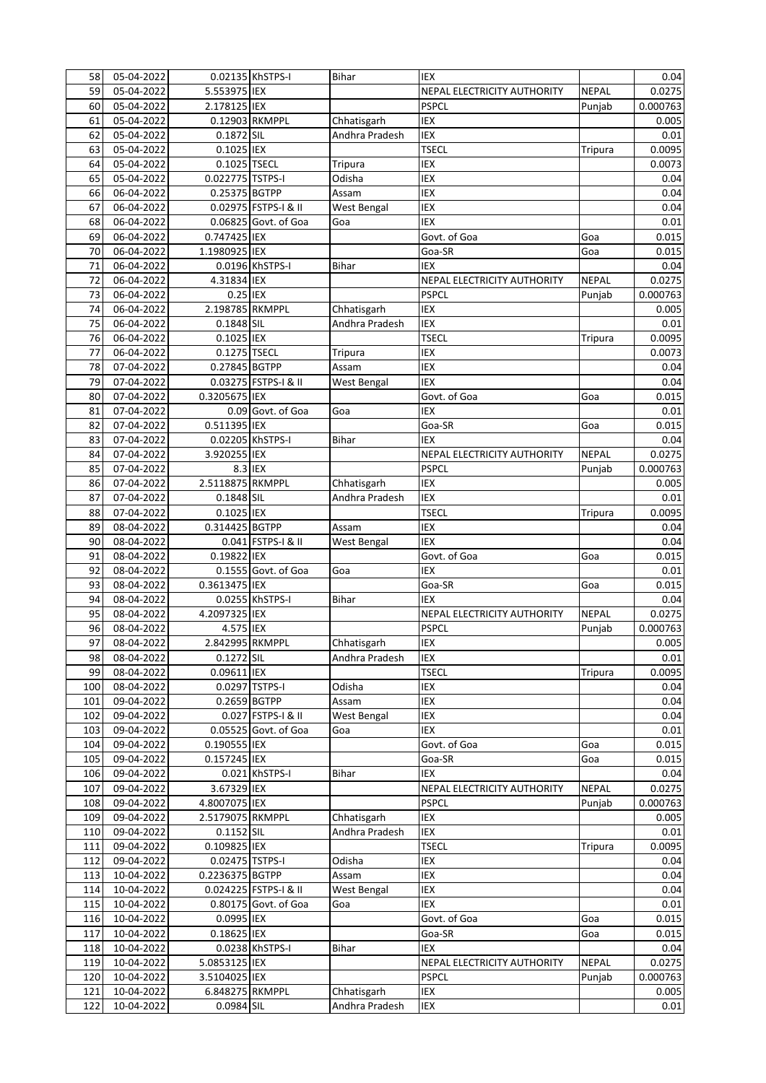| 58  | 05-04-2022               |                  | 0.02135 KhSTPS-I       | <b>Bihar</b>       | <b>IEX</b>                  |              | 0.04     |
|-----|--------------------------|------------------|------------------------|--------------------|-----------------------------|--------------|----------|
| 59  | 05-04-2022               | 5.553975 IEX     |                        |                    | NEPAL ELECTRICITY AUTHORITY | <b>NEPAL</b> | 0.0275   |
| 60  | 05-04-2022               | 2.178125 IEX     |                        |                    | <b>PSPCL</b>                | Punjab       | 0.000763 |
| 61  | 05-04-2022               |                  | 0.12903 RKMPPL         | Chhatisgarh        | <b>IEX</b>                  |              | 0.005    |
| 62  | 05-04-2022               | 0.1872 SIL       |                        | Andhra Pradesh     | <b>IEX</b>                  |              | 0.01     |
| 63  | 05-04-2022               | 0.1025 IEX       |                        |                    | <b>TSECL</b>                | Tripura      | 0.0095   |
| 64  | 05-04-2022               | 0.1025 TSECL     |                        | <b>Tripura</b>     | IEX                         |              | 0.0073   |
| 65  | 05-04-2022               | 0.022775 TSTPS-I |                        | Odisha             | <b>IEX</b>                  |              | 0.04     |
| 66  | 06-04-2022               | 0.25375 BGTPP    |                        | Assam              | <b>IEX</b>                  |              | 0.04     |
| 67  | 06-04-2022               |                  | 0.02975 FSTPS-I & II   | <b>West Bengal</b> | <b>IEX</b>                  |              | 0.04     |
| 68  | 06-04-2022               |                  | $0.06825$ Govt. of Goa | Goa                | <b>IEX</b>                  |              | 0.01     |
| 69  | 06-04-2022               | 0.747425 IEX     |                        |                    | Govt. of Goa                | Goa          | 0.015    |
| 70  | 06-04-2022               | 1.1980925 IEX    |                        |                    | Goa-SR                      | Goa          | 0.015    |
| 71  | 06-04-2022               |                  | 0.0196 KhSTPS-I        | <b>Bihar</b>       | <b>IEX</b>                  |              | 0.04     |
| 72  | 06-04-2022               | 4.31834 IEX      |                        |                    | NEPAL ELECTRICITY AUTHORITY | <b>NEPAL</b> | 0.0275   |
| 73  | 06-04-2022               | 0.25 IEX         |                        |                    | <b>PSPCL</b>                | Punjab       | 0.000763 |
| 74  | 06-04-2022               | 2.198785 RKMPPL  |                        |                    | <b>IEX</b>                  |              | 0.005    |
|     |                          |                  |                        | Chhatisgarh        |                             |              |          |
| 75  | 06-04-2022               | 0.1848 SIL       |                        | Andhra Pradesh     | <b>IEX</b>                  |              | 0.01     |
| 76  | 06-04-2022               | 0.1025 IEX       |                        |                    | <b>TSECL</b>                | Tripura      | 0.0095   |
| 77  | 06-04-2022               | 0.1275 TSECL     |                        | <b>Tripura</b>     | <b>IEX</b>                  |              | 0.0073   |
| 78  | 07-04-2022               | 0.27845 BGTPP    |                        | Assam              | <b>IEX</b>                  |              | 0.04     |
| 79  | 07-04-2022               |                  | 0.03275 FSTPS-I & II   | West Bengal        | <b>IEX</b>                  |              | 0.04     |
| 80  | 07-04-2022               | 0.3205675 IEX    |                        |                    | Govt. of Goa                | Goa          | 0.015    |
| 81  | 07-04-2022               |                  | 0.09 Govt. of Goa      | Goa                | <b>IEX</b>                  |              | 0.01     |
| 82  | 07-04-2022               | 0.511395 IEX     |                        |                    | Goa-SR                      | Goa          | 0.015    |
| 83  | 07-04-2022               |                  | 0.02205 KhSTPS-I       | Bihar              | <b>IEX</b>                  |              | 0.04     |
| 84  | $\overline{07}$ -04-2022 | 3.920255 IEX     |                        |                    | NEPAL ELECTRICITY AUTHORITY | <b>NEPAL</b> | 0.0275   |
| 85  | 07-04-2022               |                  | 8.3 IEX                |                    | <b>PSPCL</b>                | Punjab       | 0.000763 |
| 86  | 07-04-2022               | 2.5118875 RKMPPL |                        | Chhatisgarh        | <b>IEX</b>                  |              | 0.005    |
| 87  | 07-04-2022               | 0.1848 SIL       |                        | Andhra Pradesh     | <b>IEX</b>                  |              | 0.01     |
| 88  | 07-04-2022               | 0.1025 IEX       |                        |                    | <b>TSECL</b>                | Tripura      | 0.0095   |
| 89  | 08-04-2022               | 0.314425 BGTPP   |                        | Assam              | <b>IEX</b>                  |              | 0.04     |
| 90  | 08-04-2022               |                  | 0.041 FSTPS-I & II     | West Bengal        | <b>IEX</b>                  |              | 0.04     |
| 91  | $08 - 04 - 2022$         | 0.19822 IEX      |                        |                    | Govt. of Goa                | Goa          | 0.015    |
| 92  | 08-04-2022               |                  | 0.1555 Govt. of Goa    | Goa                | <b>IEX</b>                  |              | 0.01     |
| 93  | 08-04-2022               | 0.3613475 IEX    |                        |                    | Goa-SR                      | Goa          | 0.015    |
| 94  | 08-04-2022               |                  | 0.0255 KhSTPS-I        | <b>Bihar</b>       | <b>IEX</b>                  |              | 0.04     |
| 95  | 08-04-2022               | 4.2097325 IEX    |                        |                    | NEPAL ELECTRICITY AUTHORITY | <b>NEPAL</b> | 0.0275   |
| 96  | 08-04-2022               | 4.575 IEX        |                        |                    | <b>PSPCL</b>                | Punjab       | 0.000763 |
| 97  | 08-04-2022               | 2.842995 RKMPPL  |                        | Chhatisgarh        | IEX                         |              | 0.005    |
| 98  | 08-04-2022               | 0.1272 SIL       |                        | Andhra Pradesh     | IEX                         |              | 0.01     |
| 99  | 08-04-2022               | 0.09611 IEX      |                        |                    | <b>TSECL</b>                | Tripura      | 0.0095   |
|     |                          |                  |                        |                    |                             |              |          |
| 100 | 08-04-2022               |                  | 0.0297 TSTPS-I         | Odisha             | IEX                         |              | 0.04     |
| 101 | 09-04-2022               |                  | 0.2659 BGTPP           | Assam              | IEX                         |              | 0.04     |
| 102 | 09-04-2022               |                  | 0.027 FSTPS-I & II     | West Bengal        | IEX                         |              | 0.04     |
| 103 | 09-04-2022               |                  | 0.05525 Govt. of Goa   | Goa                | IEX                         |              | 0.01     |
| 104 | $09 - 04 - 2022$         | 0.190555 IEX     |                        |                    | Govt. of Goa                | Goa          | 0.015    |
| 105 | 09-04-2022               | 0.157245 IEX     |                        |                    | Goa-SR                      | Goa          | 0.015    |
| 106 | 09-04-2022               |                  | 0.021 KhSTPS-I         | Bihar              | IEX                         |              | 0.04     |
| 107 | 09-04-2022               | 3.67329 IEX      |                        |                    | NEPAL ELECTRICITY AUTHORITY | <b>NEPAL</b> | 0.0275   |
| 108 | 09-04-2022               | 4.8007075 IEX    |                        |                    | <b>PSPCL</b>                | Punjab       | 0.000763 |
| 109 | 09-04-2022               | 2.5179075 RKMPPL |                        | Chhatisgarh        | IEX                         |              | 0.005    |
| 110 | 09-04-2022               | 0.1152 SIL       |                        | Andhra Pradesh     | IEX                         |              | 0.01     |
| 111 | 09-04-2022               | 0.109825 IEX     |                        |                    | <b>TSECL</b>                | Tripura      | 0.0095   |
| 112 | 09-04-2022               | 0.02475 TSTPS-I  |                        | Odisha             | IEX                         |              | 0.04     |
| 113 | 10-04-2022               | 0.2236375 BGTPP  |                        | Assam              | IEX                         |              | 0.04     |
| 114 | 10-04-2022               |                  | 0.024225 FSTPS-I & II  | West Bengal        | IEX                         |              | 0.04     |
| 115 | 10-04-2022               |                  | 0.80175 Govt. of Goa   | Goa                | IEX                         |              | 0.01     |
| 116 | 10-04-2022               | 0.0995 IEX       |                        |                    | Govt. of Goa                | Goa          | 0.015    |
| 117 | 10-04-2022               | 0.18625 IEX      |                        |                    | Goa-SR                      | Goa          | 0.015    |
| 118 | 10-04-2022               |                  | 0.0238 KhSTPS-I        | <b>Bihar</b>       | IEX                         |              | 0.04     |
| 119 | 10-04-2022               | 5.0853125 IEX    |                        |                    | NEPAL ELECTRICITY AUTHORITY | <b>NEPAL</b> | 0.0275   |
| 120 | 10-04-2022               | 3.5104025 IEX    |                        |                    | <b>PSPCL</b>                | Punjab       | 0.000763 |
| 121 | 10-04-2022               | 6.848275 RKMPPL  |                        | Chhatisgarh        | IEX                         |              | 0.005    |
|     |                          |                  |                        |                    |                             |              |          |
| 122 | 10-04-2022               | 0.0984 SIL       |                        | Andhra Pradesh     | IEX                         |              | 0.01     |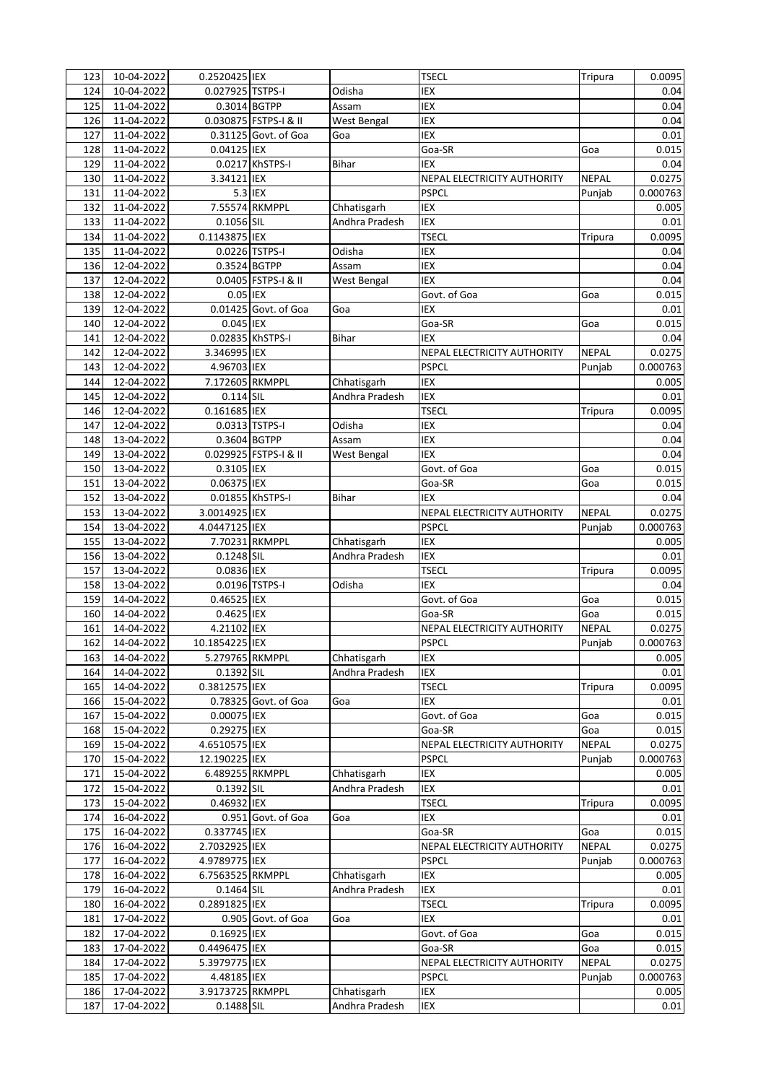| 123        | 10-04-2022 | 0.2520425 IEX    |                       |                               | <b>TSECL</b>                                       | Tripura      | 0.0095         |
|------------|------------|------------------|-----------------------|-------------------------------|----------------------------------------------------|--------------|----------------|
| 124        | 10-04-2022 | 0.027925 TSTPS-I |                       | Odisha                        | IEX                                                |              | 0.04           |
| 125        | 11-04-2022 | 0.3014 BGTPP     |                       | Assam                         | <b>IEX</b>                                         |              | 0.04           |
| 126        | 11-04-2022 |                  | 0.030875 FSTPS-I & II | West Bengal                   | IEX                                                |              | 0.04           |
| 127        | 11-04-2022 |                  | 0.31125 Govt. of Goa  | Goa                           | <b>IEX</b>                                         |              | 0.01           |
| 128        | 11-04-2022 | 0.04125 IEX      |                       |                               | Goa-SR                                             | Goa          | 0.015          |
| 129        | 11-04-2022 |                  | 0.0217 KhSTPS-I       | Bihar                         | IEX                                                |              | 0.04           |
| 130        | 11-04-2022 | 3.34121 IEX      |                       |                               | NEPAL ELECTRICITY AUTHORITY                        | <b>NEPAL</b> | 0.0275         |
| 131        | 11-04-2022 |                  | 5.3 IEX               |                               | <b>PSPCL</b>                                       | Punjab       | 0.000763       |
| 132        | 11-04-2022 |                  | 7.55574 RKMPPL        | Chhatisgarh                   | IEX                                                |              | 0.005          |
| 133        | 11-04-2022 | 0.1056 SIL       |                       | Andhra Pradesh                | <b>IEX</b>                                         |              | 0.01           |
| 134        | 11-04-2022 | 0.1143875 IEX    |                       |                               | <b>TSECL</b>                                       | Tripura      | 0.0095         |
| 135        | 11-04-2022 |                  | 0.0226 TSTPS-I        | Odisha                        | <b>IEX</b>                                         |              | 0.04           |
| 136        | 12-04-2022 | 0.3524 BGTPP     |                       | Assam                         | <b>IEX</b>                                         |              | 0.04           |
| 137        | 12-04-2022 |                  | 0.0405 FSTPS-I & II   | West Bengal                   | <b>IEX</b>                                         |              | 0.04           |
| 138        | 12-04-2022 | 0.05 IEX         |                       |                               | Govt. of Goa                                       | Goa          | 0.015          |
| 139        | 12-04-2022 |                  | 0.01425 Govt. of Goa  | Goa                           | <b>IEX</b>                                         |              | 0.01           |
| 140        | 12-04-2022 | 0.045 IEX        |                       |                               | Goa-SR                                             | Goa          | 0.015          |
| 141        | 12-04-2022 |                  | 0.02835 KhSTPS-I      | <b>Bihar</b>                  | <b>IEX</b>                                         |              | 0.04           |
| 142        | 12-04-2022 | 3.346995 IEX     |                       |                               | NEPAL ELECTRICITY AUTHORITY                        | <b>NEPAL</b> | 0.0275         |
| 143        | 12-04-2022 | 4.96703 IEX      |                       |                               | <b>PSPCL</b>                                       | Punjab       | 0.000763       |
| 144        | 12-04-2022 | 7.172605 RKMPPL  |                       | Chhatisgarh                   | <b>IEX</b>                                         |              | 0.005          |
| 145        | 12-04-2022 | 0.114 SIL        |                       | Andhra Pradesh                | <b>IEX</b>                                         |              | 0.01           |
| 146        | 12-04-2022 | 0.161685 IEX     |                       |                               | <b>TSECL</b>                                       | Tripura      | 0.0095         |
| 147        | 12-04-2022 |                  | 0.0313 TSTPS-I        | Odisha                        | <b>IEX</b>                                         |              | 0.04           |
| 148        | 13-04-2022 | 0.3604 BGTPP     |                       | Assam                         | IEX                                                |              | 0.04           |
| 149        | 13-04-2022 |                  | 0.029925 FSTPS-I & II | West Bengal                   | <b>IEX</b>                                         |              | 0.04           |
| 150        | 13-04-2022 | 0.3105 IEX       |                       |                               | Govt. of Goa                                       | Goa          | 0.015          |
| 151        | 13-04-2022 | 0.06375 IEX      |                       |                               | Goa-SR                                             | Goa          | 0.015          |
|            | 13-04-2022 |                  |                       | Bihar                         | IEX                                                |              |                |
| 152        | 13-04-2022 | 3.0014925 IEX    | 0.01855 KhSTPS-I      |                               |                                                    | <b>NEPAL</b> | 0.04<br>0.0275 |
| 153<br>154 | 13-04-2022 | 4.0447125 IEX    |                       |                               | <b>NEPAL ELECTRICITY AUTHORITY</b><br><b>PSPCL</b> |              |                |
|            | 13-04-2022 |                  | 7.70231 RKMPPL        |                               | IEX                                                | Punjab       | 0.000763       |
| 155        |            |                  |                       | Chhatisgarh<br>Andhra Pradesh | <b>IEX</b>                                         |              | 0.005          |
| 156        | 13-04-2022 | 0.1248 SIL       |                       |                               |                                                    |              | 0.01           |
| 157        | 13-04-2022 | 0.0836 IEX       |                       |                               | <b>TSECL</b>                                       | Tripura      | 0.0095         |
| 158        | 13-04-2022 |                  | 0.0196 TSTPS-I        | Odisha                        | <b>IEX</b>                                         |              | 0.04           |
| 159        | 14-04-2022 | 0.46525 IEX      |                       |                               | Govt. of Goa                                       | Goa          | 0.015          |
| 160        | 14-04-2022 | 0.4625 IEX       |                       |                               | Goa-SR                                             | Goa          | 0.015          |
| 161        | 14-04-2022 | 4.21102 IEX      |                       |                               | NEPAL ELECTRICITY AUTHORITY                        | <b>NEPAL</b> | 0.0275         |
| 162        | 14-04-2022 | 10.1854225 IEX   |                       |                               | <b>PSPCL</b>                                       | Punjab       | 0.000763       |
| 163        | 14-04-2022 | 5.279765 RKMPPL  |                       | Chhatisgarh                   | IEX                                                |              | 0.005          |
| 164        | 14-04-2022 | 0.1392 SIL       |                       | Andhra Pradesh                | IEX                                                |              | 0.01           |
| 165        | 14-04-2022 | 0.3812575 IEX    |                       |                               | <b>TSECL</b>                                       | Tripura      | 0.0095         |
| 166        | 15-04-2022 |                  | 0.78325 Govt. of Goa  | Goa                           | IEX                                                |              | 0.01           |
| 167        | 15-04-2022 | 0.00075 IEX      |                       |                               | Govt. of Goa                                       | Goa          | 0.015          |
| 168        | 15-04-2022 | 0.29275 IEX      |                       |                               | Goa-SR                                             | Goa          | 0.015          |
| 169        | 15-04-2022 | 4.6510575 IEX    |                       |                               | NEPAL ELECTRICITY AUTHORITY                        | <b>NEPAL</b> | 0.0275         |
| 170        | 15-04-2022 | 12.190225 IEX    |                       |                               | <b>PSPCL</b>                                       | Punjab       | 0.000763       |
| 171        | 15-04-2022 | 6.489255 RKMPPL  |                       | Chhatisgarh                   | IEX                                                |              | 0.005          |
| 172        | 15-04-2022 | 0.1392 SIL       |                       | Andhra Pradesh                | IEX                                                |              | 0.01           |
| 173        | 15-04-2022 | 0.46932 IEX      |                       |                               | <b>TSECL</b>                                       | Tripura      | 0.0095         |
| 174        | 16-04-2022 |                  | 0.951 Govt. of Goa    | Goa                           | IEX                                                |              | 0.01           |
| 175        | 16-04-2022 | 0.337745 IEX     |                       |                               | Goa-SR                                             | Goa          | 0.015          |
| 176        | 16-04-2022 | 2.7032925 IEX    |                       |                               | NEPAL ELECTRICITY AUTHORITY                        | <b>NEPAL</b> | 0.0275         |
| 177        | 16-04-2022 | 4.9789775 IEX    |                       |                               | <b>PSPCL</b>                                       | Punjab       | 0.000763       |
| 178        | 16-04-2022 | 6.7563525 RKMPPL |                       | Chhatisgarh                   | IEX                                                |              | 0.005          |
| 179        | 16-04-2022 | 0.1464 SIL       |                       | Andhra Pradesh                | IEX                                                |              | 0.01           |
| 180        | 16-04-2022 | 0.2891825 IEX    |                       |                               | <b>TSECL</b>                                       | Tripura      | 0.0095         |
| 181        | 17-04-2022 |                  | 0.905 Govt. of Goa    | Goa                           | IEX                                                |              | 0.01           |
| 182        | 17-04-2022 | 0.16925 IEX      |                       |                               | Govt. of Goa                                       | Goa          | 0.015          |
| 183        | 17-04-2022 | 0.4496475 IEX    |                       |                               | Goa-SR                                             | Goa          | 0.015          |
| 184        | 17-04-2022 | 5.3979775 IEX    |                       |                               | NEPAL ELECTRICITY AUTHORITY                        | <b>NEPAL</b> | 0.0275         |
| 185        | 17-04-2022 | 4.48185 IEX      |                       |                               | <b>PSPCL</b>                                       | Punjab       | 0.000763       |
| 186        | 17-04-2022 | 3.9173725 RKMPPL |                       | Chhatisgarh                   | <b>IEX</b>                                         |              | 0.005          |
| 187        | 17-04-2022 | 0.1488 SIL       |                       | Andhra Pradesh                | IEX                                                |              | 0.01           |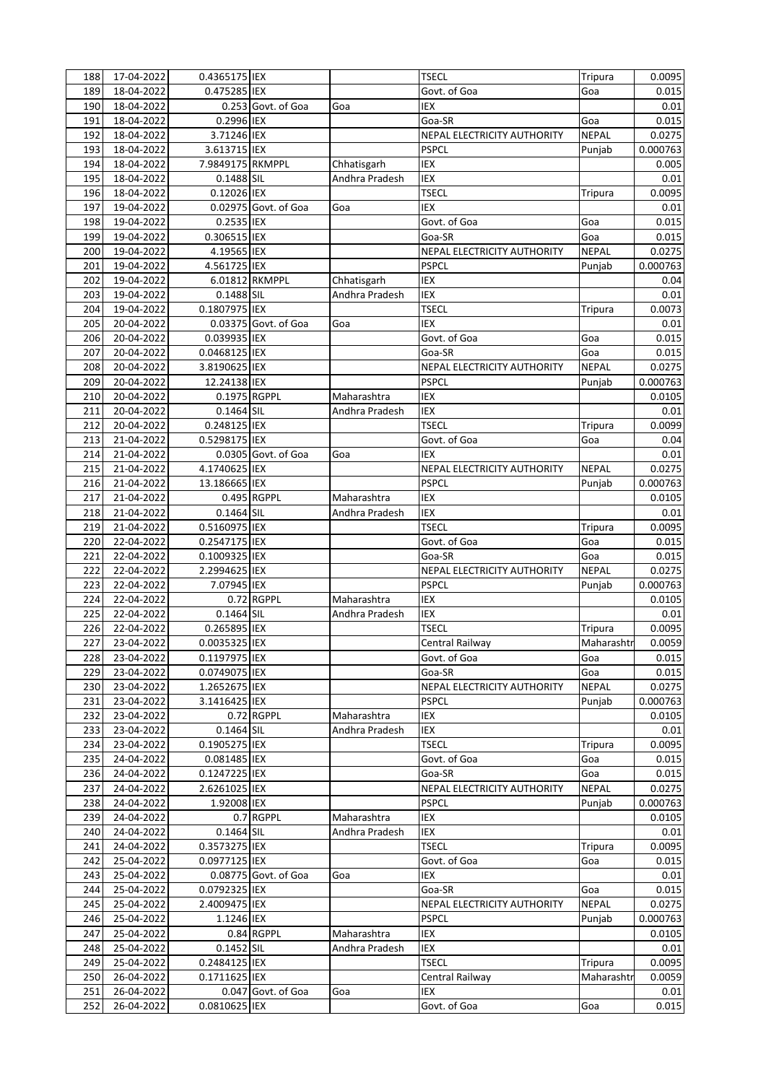| 188 | 17-04-2022 | 0.4365175 IEX    |                      |                | <b>TSECL</b>                | Tripura      | 0.0095   |
|-----|------------|------------------|----------------------|----------------|-----------------------------|--------------|----------|
| 189 | 18-04-2022 | 0.475285 IEX     |                      |                | Govt. of Goa                | Goa          | 0.015    |
| 190 | 18-04-2022 |                  | 0.253 Govt. of Goa   | Goa            | <b>IEX</b>                  |              | 0.01     |
| 191 | 18-04-2022 | 0.2996 IEX       |                      |                | Goa-SR                      | Goa          | 0.015    |
| 192 | 18-04-2022 | 3.71246 IEX      |                      |                | NEPAL ELECTRICITY AUTHORITY | <b>NEPAL</b> | 0.0275   |
| 193 | 18-04-2022 | 3.613715 IEX     |                      |                | <b>PSPCL</b>                | Punjab       | 0.000763 |
| 194 | 18-04-2022 | 7.9849175 RKMPPL |                      | Chhatisgarh    | <b>IEX</b>                  |              | 0.005    |
| 195 | 18-04-2022 | 0.1488 SIL       |                      | Andhra Pradesh | IEX                         |              | 0.01     |
| 196 | 18-04-2022 | 0.12026 IEX      |                      |                | <b>TSECL</b>                | Tripura      | 0.0095   |
| 197 | 19-04-2022 |                  | 0.02975 Govt. of Goa | Goa            | <b>IEX</b>                  |              | 0.01     |
| 198 | 19-04-2022 | 0.2535 IEX       |                      |                | Govt. of Goa                | Goa          | 0.015    |
| 199 | 19-04-2022 | 0.306515 IEX     |                      |                | Goa-SR                      | Goa          | 0.015    |
| 200 | 19-04-2022 | 4.19565 IEX      |                      |                | NEPAL ELECTRICITY AUTHORITY | <b>NEPAL</b> | 0.0275   |
| 201 | 19-04-2022 | 4.561725 IEX     |                      |                | <b>PSPCL</b>                | Punjab       | 0.000763 |
| 202 | 19-04-2022 | 6.01812 RKMPPL   |                      | Chhatisgarh    | IEX                         |              | 0.04     |
| 203 | 19-04-2022 | 0.1488 SIL       |                      | Andhra Pradesh | IEX                         |              | 0.01     |
| 204 | 19-04-2022 | 0.1807975 IEX    |                      |                | <b>TSECL</b>                | Tripura      | 0.0073   |
| 205 | 20-04-2022 |                  | 0.03375 Govt. of Goa | Goa            | <b>IEX</b>                  |              | 0.01     |
| 206 | 20-04-2022 | 0.039935 IEX     |                      |                | Govt. of Goa                | Goa          | 0.015    |
| 207 | 20-04-2022 | 0.0468125 IEX    |                      |                | Goa-SR                      | Goa          | 0.015    |
| 208 | 20-04-2022 | 3.8190625 IEX    |                      |                | NEPAL ELECTRICITY AUTHORITY | <b>NEPAL</b> | 0.0275   |
| 209 | 20-04-2022 | 12.24138 IEX     |                      |                | <b>PSPCL</b>                | Punjab       | 0.000763 |
| 210 | 20-04-2022 | 0.1975 RGPPL     |                      | Maharashtra    | IEX                         |              | 0.0105   |
| 211 | 20-04-2022 | 0.1464 SIL       |                      | Andhra Pradesh | IEX                         |              | 0.01     |
| 212 | 20-04-2022 | 0.248125 IEX     |                      |                | <b>TSECL</b>                | Tripura      | 0.0099   |
| 213 | 21-04-2022 | 0.5298175 IEX    |                      |                | Govt. of Goa                | Goa          | 0.04     |
| 214 | 21-04-2022 |                  | 0.0305 Govt. of Goa  | Goa            | <b>IEX</b>                  |              | 0.01     |
| 215 | 21-04-2022 | 4.1740625 IEX    |                      |                | NEPAL ELECTRICITY AUTHORITY | <b>NEPAL</b> | 0.0275   |
| 216 | 21-04-2022 | 13.186665 IEX    |                      |                | <b>PSPCL</b>                | Punjab       | 0.000763 |
| 217 | 21-04-2022 |                  | 0.495 RGPPL          | Maharashtra    | IEX                         |              | 0.0105   |
| 218 | 21-04-2022 | 0.1464 SIL       |                      | Andhra Pradesh | IEX                         |              | 0.01     |
| 219 | 21-04-2022 | 0.5160975 IEX    |                      |                | <b>TSECL</b>                | Tripura      | 0.0095   |
| 220 | 22-04-2022 | 0.2547175 IEX    |                      |                | Govt. of Goa                | Goa          | 0.015    |
| 221 | 22-04-2022 | 0.1009325 IEX    |                      |                | Goa-SR                      | Goa          | 0.015    |
| 222 | 22-04-2022 | 2.2994625 IEX    |                      |                | NEPAL ELECTRICITY AUTHORITY | <b>NEPAL</b> | 0.0275   |
| 223 | 22-04-2022 | 7.07945 IEX      |                      |                | <b>PSPCL</b>                | Punjab       | 0.000763 |
| 224 | 22-04-2022 |                  | 0.72 RGPPL           | Maharashtra    | IEX                         |              | 0.0105   |
| 225 | 22-04-2022 | 0.1464 SIL       |                      | Andhra Pradesh | IEX                         |              | 0.01     |
| 226 | 22-04-2022 | 0.265895 IEX     |                      |                | <b>TSECL</b>                | Tripura      | 0.0095   |
| 227 | 23-04-2022 | 0.0035325 IEX    |                      |                | Central Railwav             | Maharashtr   | 0.0059   |
| 228 | 23-04-2022 | 0.1197975 IEX    |                      |                | Govt. of Goa                | Goa          | 0.015    |
| 229 | 23-04-2022 | 0.0749075 IEX    |                      |                | Goa-SR                      | Goa          | 0.015    |
| 230 | 23-04-2022 | 1.2652675 IEX    |                      |                | NEPAL ELECTRICITY AUTHORITY | <b>NEPAL</b> | 0.0275   |
| 231 | 23-04-2022 | 3.1416425 IEX    |                      |                | <b>PSPCL</b>                | Punjab       | 0.000763 |
| 232 | 23-04-2022 |                  | 0.72 RGPPL           | Maharashtra    | IEX                         |              | 0.0105   |
| 233 | 23-04-2022 | 0.1464 SIL       |                      | Andhra Pradesh | <b>IEX</b>                  |              | 0.01     |
| 234 | 23-04-2022 | 0.1905275 IEX    |                      |                | <b>TSECL</b>                | Tripura      | 0.0095   |
| 235 | 24-04-2022 | 0.081485 IEX     |                      |                | Govt. of Goa                | Goa          | 0.015    |
| 236 | 24-04-2022 | 0.1247225 IEX    |                      |                | Goa-SR                      | Goa          | 0.015    |
| 237 | 24-04-2022 | 2.6261025 IEX    |                      |                | NEPAL ELECTRICITY AUTHORITY | NEPAL        | 0.0275   |
| 238 | 24-04-2022 | 1.92008 IEX      |                      |                | <b>PSPCL</b>                | Punjab       | 0.000763 |
| 239 | 24-04-2022 |                  | 0.7 RGPPL            | Maharashtra    | IEX                         |              | 0.0105   |
| 240 | 24-04-2022 | 0.1464 SIL       |                      | Andhra Pradesh | IEX                         |              | 0.01     |
| 241 | 24-04-2022 | 0.3573275 IEX    |                      |                | <b>TSECL</b>                | Tripura      | 0.0095   |
| 242 | 25-04-2022 | 0.0977125 IEX    |                      |                | Govt. of Goa                | Goa          | 0.015    |
| 243 | 25-04-2022 |                  | 0.08775 Govt. of Goa | Goa            | IEX                         |              | 0.01     |
| 244 | 25-04-2022 | 0.0792325 IEX    |                      |                | Goa-SR                      | Goa          | 0.015    |
| 245 | 25-04-2022 | 2.4009475 IEX    |                      |                | NEPAL ELECTRICITY AUTHORITY | <b>NEPAL</b> | 0.0275   |
| 246 | 25-04-2022 | 1.1246 IEX       |                      |                | <b>PSPCL</b>                | Punjab       | 0.000763 |
| 247 | 25-04-2022 |                  | 0.84 RGPPL           | Maharashtra    | IEX                         |              | 0.0105   |
| 248 | 25-04-2022 | 0.1452 SIL       |                      | Andhra Pradesh | IEX                         |              | 0.01     |
| 249 | 25-04-2022 | 0.2484125 IEX    |                      |                | <b>TSECL</b>                | Tripura      | 0.0095   |
| 250 | 26-04-2022 | 0.1711625 IEX    |                      |                | Central Railway             | Maharashtr   | 0.0059   |
| 251 | 26-04-2022 |                  | 0.047 Govt. of Goa   | Goa            | IEX                         |              | 0.01     |
| 252 | 26-04-2022 | 0.0810625 IEX    |                      |                | Govt. of Goa                | Goa          | 0.015    |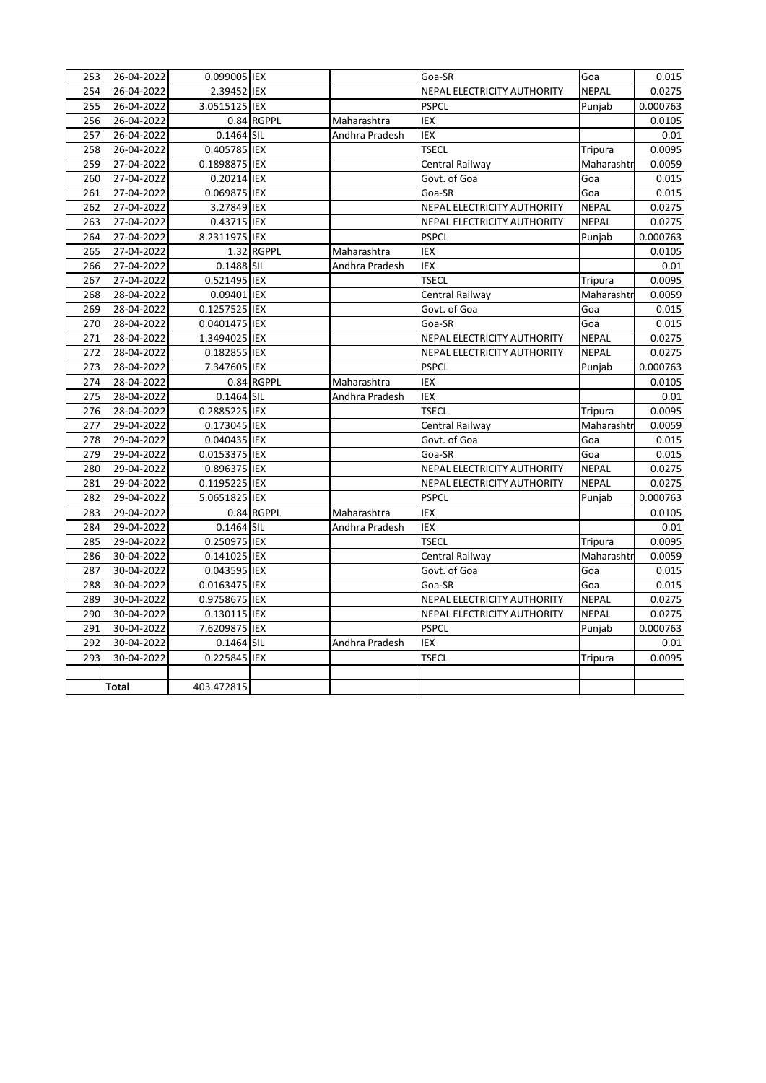| 253 | 26-04-2022 | 0.099005 IEX  |            |                | Goa-SR                      | Goa          | 0.015    |
|-----|------------|---------------|------------|----------------|-----------------------------|--------------|----------|
| 254 | 26-04-2022 | 2.39452 IEX   |            |                | NEPAL ELECTRICITY AUTHORITY | <b>NEPAL</b> | 0.0275   |
| 255 | 26-04-2022 | 3.0515125 IEX |            |                | <b>PSPCL</b>                | Punjab       | 0.000763 |
| 256 | 26-04-2022 |               | 0.84 RGPPL | Maharashtra    | IEX                         |              | 0.0105   |
| 257 | 26-04-2022 | 0.1464 SIL    |            | Andhra Pradesh | IEX                         |              | 0.01     |
| 258 | 26-04-2022 | 0.405785 IEX  |            |                | <b>TSECL</b>                | Tripura      | 0.0095   |
| 259 | 27-04-2022 | 0.1898875 IEX |            |                | Central Railway             | Maharashtr   | 0.0059   |
| 260 | 27-04-2022 | 0.20214 IEX   |            |                | Govt. of Goa                | Goa          | 0.015    |
| 261 | 27-04-2022 | 0.069875 IEX  |            |                | Goa-SR                      | Goa          | 0.015    |
| 262 | 27-04-2022 | 3.27849 IEX   |            |                | NEPAL ELECTRICITY AUTHORITY | <b>NEPAL</b> | 0.0275   |
| 263 | 27-04-2022 | 0.43715 IEX   |            |                | NEPAL ELECTRICITY AUTHORITY | <b>NEPAL</b> | 0.0275   |
| 264 | 27-04-2022 | 8.2311975 IEX |            |                | <b>PSPCL</b>                | Punjab       | 0.000763 |
| 265 | 27-04-2022 |               | 1.32 RGPPL | Maharashtra    | IEX                         |              | 0.0105   |
| 266 | 27-04-2022 | 0.1488 SIL    |            | Andhra Pradesh | IEX                         |              | 0.01     |
| 267 | 27-04-2022 | 0.521495 IEX  |            |                | <b>TSECL</b>                | Tripura      | 0.0095   |
| 268 | 28-04-2022 | 0.09401 IEX   |            |                | Central Railway             | Maharashtr   | 0.0059   |
| 269 | 28-04-2022 | 0.1257525 IEX |            |                | Govt. of Goa                | Goa          | 0.015    |
| 270 | 28-04-2022 | 0.0401475 IEX |            |                | Goa-SR                      | Goa          | 0.015    |
| 271 | 28-04-2022 | 1.3494025 IEX |            |                | NEPAL ELECTRICITY AUTHORITY | <b>NEPAL</b> | 0.0275   |
| 272 | 28-04-2022 | 0.182855 IEX  |            |                | NEPAL ELECTRICITY AUTHORITY | <b>NEPAL</b> | 0.0275   |
| 273 | 28-04-2022 | 7.347605 IEX  |            |                | <b>PSPCL</b>                | Punjab       | 0.000763 |
| 274 | 28-04-2022 |               | 0.84 RGPPL | Maharashtra    | <b>IEX</b>                  |              | 0.0105   |
| 275 | 28-04-2022 | 0.1464 SIL    |            | Andhra Pradesh | IEX                         |              | 0.01     |
| 276 | 28-04-2022 | 0.2885225 IEX |            |                | <b>TSECL</b>                | Tripura      | 0.0095   |
| 277 | 29-04-2022 | 0.173045 IEX  |            |                | Central Railway             | Maharashtr   | 0.0059   |
| 278 | 29-04-2022 | 0.040435 IEX  |            |                | Govt. of Goa                | Goa          | 0.015    |
| 279 | 29-04-2022 | 0.0153375 IEX |            |                | Goa-SR                      | Goa          | 0.015    |
| 280 | 29-04-2022 | 0.896375 IEX  |            |                | NEPAL ELECTRICITY AUTHORITY | <b>NEPAL</b> | 0.0275   |
| 281 | 29-04-2022 | 0.1195225 IEX |            |                | NEPAL ELECTRICITY AUTHORITY | <b>NEPAL</b> | 0.0275   |
| 282 | 29-04-2022 | 5.0651825 IEX |            |                | <b>PSPCL</b>                | Punjab       | 0.000763 |
| 283 | 29-04-2022 |               | 0.84 RGPPL | Maharashtra    | IEX                         |              | 0.0105   |
| 284 | 29-04-2022 | 0.1464 SIL    |            | Andhra Pradesh | IEX                         |              | 0.01     |
| 285 | 29-04-2022 | 0.250975 IEX  |            |                | <b>TSECL</b>                | Tripura      | 0.0095   |
| 286 | 30-04-2022 | 0.141025 IEX  |            |                | Central Railway             | Maharashtr   | 0.0059   |
| 287 | 30-04-2022 | 0.043595 IEX  |            |                | Govt. of Goa                | Goa          | 0.015    |
| 288 | 30-04-2022 | 0.0163475 IEX |            |                | Goa-SR                      | Goa          | 0.015    |
| 289 | 30-04-2022 | 0.9758675 IEX |            |                | NEPAL ELECTRICITY AUTHORITY | <b>NEPAL</b> | 0.0275   |
| 290 | 30-04-2022 | 0.130115 IEX  |            |                | NEPAL ELECTRICITY AUTHORITY | <b>NEPAL</b> | 0.0275   |
| 291 | 30-04-2022 | 7.6209875 IEX |            |                | <b>PSPCL</b>                | Punjab       | 0.000763 |
| 292 | 30-04-2022 | 0.1464 SIL    |            | Andhra Pradesh | IEX                         |              | 0.01     |
| 293 | 30-04-2022 | 0.225845 IEX  |            |                | <b>TSECL</b>                | Tripura      | 0.0095   |
|     |            |               |            |                |                             |              |          |
|     | Total      | 403.472815    |            |                |                             |              |          |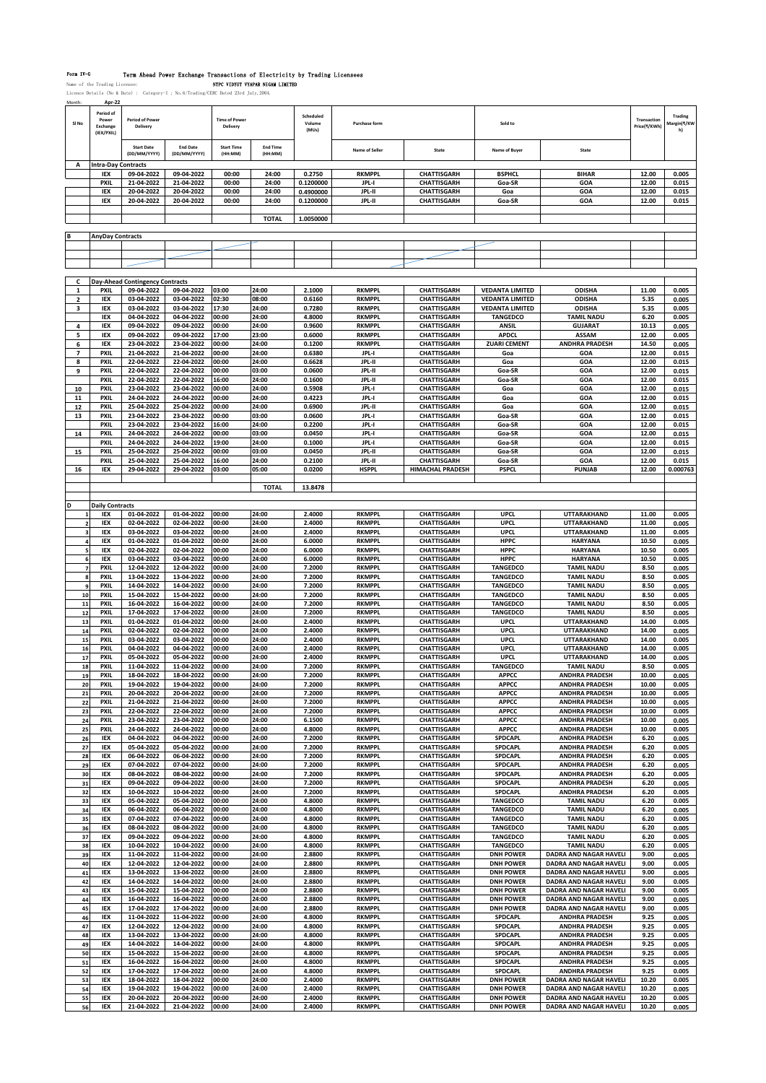### Form IV-G Term Ahead Power Exchange Transactions of Electricity by Trading Lice

Name of the Trading Licensee: NTPC VIDYUT VYAPAR NIGAM LIMITED Licence Details (No & Date) : Category-I ; No. 6/Trading/CERC D

Month: **Apr-22 Sl No Period of Power Exchange (IEX/PXIL) Period of Power Delivery Time of Power Delivery Scheduled Volume (MUs) Purchase form Sold to Transaction Price(₹/KWh) Trading Margin(₹/KW h) Start Date (DD/MM/YYYY) End Date (DD/MM/YYYY) Start Time (HH:MM) End Time (HH:MM) Name of Seller State Name of Buyer State A Intra-Day Contracts IEX 09-04-2022 09-04-2022 00:00 24:00 0.2750 RKMPPL CHATTISGARH BSPHCL BIHAR 12.00 0.005 PXIL 21-04-2022 21-04-2022 00:00 24:00 0.1200000 JPL-I CHATTISGARH Goa-SR GOA 12.00 0.015 IEX 20-04-2022 20-04-2022 00:00 24:00 0.4900000 JPL-II CHATTISGARH Goa GOA 12.00 0.015 IEX 20-04-2022 20-04-2022 00:00 24:00 0.1200000 JPL-II CHATTISGARH Goa-SR GOA 12.00 0.015 TOTAL 1.0050000 B AnyDay Contracts C Day-Ahead Contingency Contracts PXIL 09-04-2022 09-04-2022 03:00 24:00 2.1000 RKMPPL CHATTISGARH VEDANTA LIMITED ODISHA 11.00 0.005 IEX 03-04-2022 03-04-2022 02:30 08:00 0.6160 RKMPPL CHATTISGARH VEDANTA LIMITED ODISHA 5.35 0.005 IEX 03-04-2022 03-04-2022 17:30 24:00 0.7280 RKMPPL CHATTISGARH VEDANTA LIMITED ODISHA 5.35 0.005 IEX 04-04-2022 04-04-2022 00:00 24:00 4.8000 RKMPPL CHATTISGARH TANGEDCO TAMIL NADU 6.20 0.005 IEX 09-04-2022 09-04-2022 00:00 24:00 0.9600 RKMPPL CHATTISGARH ANSIL GUJARAT 10.13 0.005 IEX 09-04-2022 09-04-2022 17:00 23:00 0.6000 RKMPPL CHATTISGARH APDCL ASSAM 12.00 0.005 IEX 23-04-2022 23-04-2022 00:00 24:00 0.1200 RKMPPL CHATTISGARH ZUARI CEMENT ANDHRA PRADESH 14.50 0.005 PXIL 21-04-2022 21-04-2022 00:00 24:00 0.6380 JPL-I CHATTISGARH Goa GOA 12.00 0.015 PXIL 22-04-2022 22-04-2022 00:00 24:00 0.6628 JPL-II CHATTISGARH Goa GOA 12.00 0.015 PXIL 22-04-2022 22-04-2022 00:00 03:00 0.0600 JPL-II CHATTISGARH Goa-SR GOA 12.00 0.015 PXIL 22-04-2022 22-04-2022 16:00 24:00 0.1600 JPL-II CHATTISGARH Goa-SR GOA 12.00 0.015 PXIL 23-04-2022 23-04-2022 00:00 24:00 0.5908 JPL-I CHATTISGARH Goa GOA 12.00 0.015 PXIL 24-04-2022 24-04-2022 00:00 24:00 0.4223 JPL-I CHATTISGARH Goa GOA 12.00 0.015 PXIL 25-04-2022 25-04-2022 00:00 24:00 0.6900 JPL-II CHATTISGARH Goa GOA 12.00 0.015 PXIL 23-04-2022 23-04-2022 00:00 03:00 0.0600 JPL-I CHATTISGARH Goa-SR GOA 12.00 0.015 PXIL 23-04-2022 23-04-2022 16:00 24:00 0.2200 JPL-I CHATTISGARH Goa-SR GOA 12.00 0.015 PXIL 24-04-2022 24-04-2022 00:00 03:00 0.0450 JPL-I CHATTISGARH Goa-SR GOA 12.00 0.015 PXIL 24-04-2022 24-04-2022 19:00 24:00 0.1000 JPL-I CHATTISGARH Goa-SR GOA 12.00 0.015 PXIL 25-04-2022 25-04-2022 00:00 03:00 0.0450 JPL-II CHATTISGARH Goa-SR GOA 12.00 0.015 PXIL 25-04-2022 25-04-2022 16:00 24:00 0.2100 JPL-II CHATTISGARH Goa-SR GOA 12.00 0.015 IEX 29-04-2022 29-04-2022 03:00 05:00 0.0200 HSPPL HIMACHAL PRADESH PSPCL PUNJAB 12.00 0.000763 TOTAL 13.8478 Daily Contracts**<br>**IEX** 01-04-2022 **IEX 01-04-2022 01-04-2022 00:00 24:00 2.4000 RKMPPL CHATTISGARH UPCL UTTARAKHAND 11.00 0.005 IEX 02-04-2022 02-04-2022 00:00 24:00 2.4000 RKMPPL CHATTISGARH UPCL UTTARAKHAND 11.00 0.005 IEX 03-04-2022 03-04-2022 00:00 24:00 2.4000 RKMPPL CHATTISGARH UPCL UTTARAKHAND 11.00 0.005 IEX 01-04-2022 01-04-2022 00:00 24:00 6.0000 RKMPPL CHATTISGARH HPPC HARYANA 10.50 0.005 IEX 02-04-2022 02-04-2022 00:00 24:00 6.0000 RKMPPL CHATTISGARH HPPC HARYANA 10.50 0.005 IEX 03-04-2022 03-04-2022 00:00 24:00 6.0000 RKMPPL CHATTISGARH HPPC HARYANA 10.50 0.005 PXIL 12-04-2022 12-04-2022 00:00 24:00 7.2000 RKMPPL CHATTISGARH TANGEDCO TAMIL NADU 8.50 0.005 PXIL 13-04-2022 13-04-2022 00:00 24:00 7.2000 RKMPPL CHATTISGARH TANGEDCO TAMIL NADU 8.50 0.005 PXIL 14-04-2022 14-04-2022 00:00 24:00 7.2000 RKMPPL CHATTISGARH TANGEDCO TAMIL NADU 8.50 0.005 PXIL 15-04-2022 15-04-2022 00:00 24:00 7.2000 RKMPPL CHATTISGARH TANGEDCO TAMIL NADU 8.50 0.005 PXIL 16-04-2022 16-04-2022 00:00 24:00 7.2000 RKMPPL CHATTISGARH TANGEDCO TAMIL NADU 8.50 0.005 PXIL 17-04-2022 17-04-2022 00:00 24:00 7.2000 RKMPPL CHATTISGARH TANGEDCO TAMIL NADU 8.50 0.005 PXIL 01-04-2022 01-04-2022 00:00 24:00 2.4000 RKMPPL CHATTISGARH UPCL UTTARAKHAND 14.00 0.005 PXIL 02-04-2022 02-04-2022 00:00 24:00 2.4000 RKMPPL CHATTISGARH UPCL UTTARAKHAND 14.00 0.005 PXIL 03-04-2022 03-04-2022 00:00 24:00 2.4000 RKMPPL CHATTISGARH UPCL UTTARAKHAND 14.00 0.005 PXIL 04-04-2022 04-04-2022 00:00 24:00 2.4000 RKMPPL CHATTISGARH UPCL UTTARAKHAND 14.00 0.005 PXIL 05-04-2022 05-04-2022 00:00 24:00 2.4000 RKMPPL CHATTISGARH UPCL UTTARAKHAND 14.00 0.005 PXIL 11-04-2022 11-04-2022 00:00 24:00 7.2000 RKMPPL CHATTISGARH TANGEDCO TAMIL NADU 8.50 0.005 PXIL 18-04-2022 18-04-2022 00:00 24:00 7.2000 RKMPPL CHATTISGARH APPCC ANDHRA PRADESH 10.00 0.005 PXIL 19-04-2022 19-04-2022 00:00 24:00 7.2000 RKMPPL CHATTISGARH APPCC ANDHRA PRADESH 10.00 0.005 PXIL 20-04-2022 20-04-2022 00:00 24:00 7.2000 RKMPPL CHATTISGARH APPCC ANDHRA PRADESH 10.00 0.005 PXIL 21-04-2022 21-04-2022 00:00 24:00 7.2000 RKMPPL CHATTISGARH APPCC ANDHRA PRADESH 10.00 0.005 PXIL 22-04-2022 22-04-2022 00:00 24:00 7.2000 RKMPPL CHATTISGARH APPCC ANDHRA PRADESH 10.00 0.005 PXIL 23-04-2022 23-04-2022 00:00 24:00 6.1500 RKMPPL CHATTISGARH APPCC ANDHRA PRADESH 10.00 0.005 PXIL 24-04-2022 24-04-2022 00:00 24:00 4.8000 RKMPPL CHATTISGARH APPCC ANDHRA PRADESH 10.00 0.005 IEX 04-04-2022 04-04-2022 00:00 24:00 7.2000 RKMPPL CHATTISGARH SPDCAPL ANDHRA PRADESH 6.20 0.005 IEX 05-04-2022 05-04-2022 00:00 24:00 7.2000 RKMPPL CHATTISGARH SPDCAPL ANDHRA PRADESH 6.20 0.005 IEX 06-04-2022 06-04-2022 00:00 24:00 7.2000 RKMPPL CHATTISGARH SPDCAPL ANDHRA PRADESH 6.20 0.005 IEX 07-04-2022 07-04-2022 00:00 24:00 7.2000 RKMPPL CHATTISGARH SPDCAPL ANDHRA PRADESH 6.20 0.005 IEX 08-04-2022 08-04-2022 00:00 24:00 7.2000 RKMPPL CHATTISGARH SPDCAPL ANDHRA PRADESH 6.20 0.005 IEX 09-04-2022 09-04-2022 00:00 24:00 7.2000 RKMPPL CHATTISGARH SPDCAPL ANDHRA PRADESH 6.20 0.005 IEX 10-04-2022 10-04-2022 00:00 24:00 7.2000 RKMPPL CHATTISGARH SPDCAPL ANDHRA PRADESH 6.20 0.005 IEX 05-04-2022 05-04-2022 00:00 24:00 4.8000 RKMPPL CHATTISGARH TANGEDCO TAMIL NADU 6.20 0.005 IEX 06-04-2022 06-04-2022 00:00 24:00 4.8000 RKMPPL CHATTISGARH TANGEDCO TAMIL NADU 6.20 0.005 IEX 07-04-2022 07-04-2022 00:00 24:00 4.8000 RKMPPL CHATTISGARH TANGEDCO TAMIL NADU 6.20 0.005 IEX 08-04-2022 08-04-2022 00:00 24:00 4.8000 RKMPPL CHATTISGARH TANGEDCO TAMIL NADU 6.20 0.005 IEX 09-04-2022 09-04-2022 00:00 24:00 4.8000 RKMPPL CHATTISGARH TANGEDCO TAMIL NADU 6.20 0.005 IEX 10-04-2022 10-04-2022 00:00 24:00 4.8000 RKMPPL CHATTISGARH TANGEDCO TAMIL NADU 6.20 0.005 IEX 11-04-2022 11-04-2022 00:00 24:00 2.8800 RKMPPL CHATTISGARH DNH POWER DADRA AND NAGAR HAVELI 9.00 0.005 IEX 12-04-2022 12-04-2022 00:00 24:00 2.8800 RKMPPL CHATTISGARH DNH POWER DADRA AND NAGAR HAVELI 9.00 0.005 IEX 13-04-2022 13-04-2022 00:00 24:00 2.8800 RKMPPL CHATTISGARH DNH POWER DADRA AND NAGAR HAVELI 9.00 0.005 IEX 14-04-2022 14-04-2022 00:00 24:00 2.8800 RKMPPL CHATTISGARH DNH POWER DADRA AND NAGAR HAVELI 9.00 0.005**  $\overline{D}$ **BADRA AND NAGAR HAVELI IEX 16-04-2022 16-04-2022 00:00 24:00 2.8800 RKMPPL CHATTISGARH DNH POWER DADRA AND NAGAR HAVELI 9.00 0.005 IEX 17-04-2022 17-04-2022 00:00 24:00 2.8800 RKMPPL CHATTISGARH DNH POWER DADRA AND NAGAR HAVELI 9.00 0.005 IEX 11-04-2022 11-04-2022 00:00 24:00 4.8000 RKMPPL CHATTISGARH SPDCAPL ANDHRA PRADESH 9.25 0.005 IEX 12-04-2022 12-04-2022 00:00 24:00 4.8000 RKMPPL CHATTISGARH SPDCAPL ANDHRA PRADESH 9.25 0.005 IEX 13-04-2022 13-04-2022 00:00 24:00 4.8000 RKMPPL CHATTISGARH SPDCAPL ANDHRA PRADESH 9.25 0.005 IEX 14-04-2022 14-04-2022 00:00 24:00 4.8000 RKMPPL CHATTISGARH SPDCAPL ANDHRA PRADESH 9.25 0.005 IEX 15-04-2022 15-04-2022 00:00 24:00 4.8000 RKMPPL CHATTISGARH SPDCAPL ANDHRA PRADESH 9.25 0.005 IEX 16-04-2022 16-04-2022 00:00 24:00 4.8000 RKMPPL CHATTISGARH SPDCAPL ANDHRA PRADESH 9.25 0.005 IEX 17-04-2022 17-04-2022 00:00 24:00 4.8000 RKMPPL CHATTISGARH SPDCAPL ANDHRA PRADESH 9.25 0.005 IEX 18-04-2022 18-04-2022 00:00 24:00 2.4000 RKMPPL CHATTISGARH DNH POWER DADRA AND NAGAR HAVELI 10.20 0.005 IEX 19-04-2022 19-04-2022 00:00 24:00 2.4000 RKMPPL CHATTISGARH DNH POWER DADRA AND NAGAR HAVELI 10.20 0.005 IEX 20-04-2022 20-04-2022 00:00 24:00 2.4000 RKMPPL CHATTISGARH DNH POWER DADRA AND NAGAR HAVELI 10.20 0.005**

**IEX 21-04-2022 21-04-2022 00:00 24:00 2.4000 RKMPPL CHATTISGARH DNH POWER DADRA AND NAGAR HAVELI 10.20 0.005**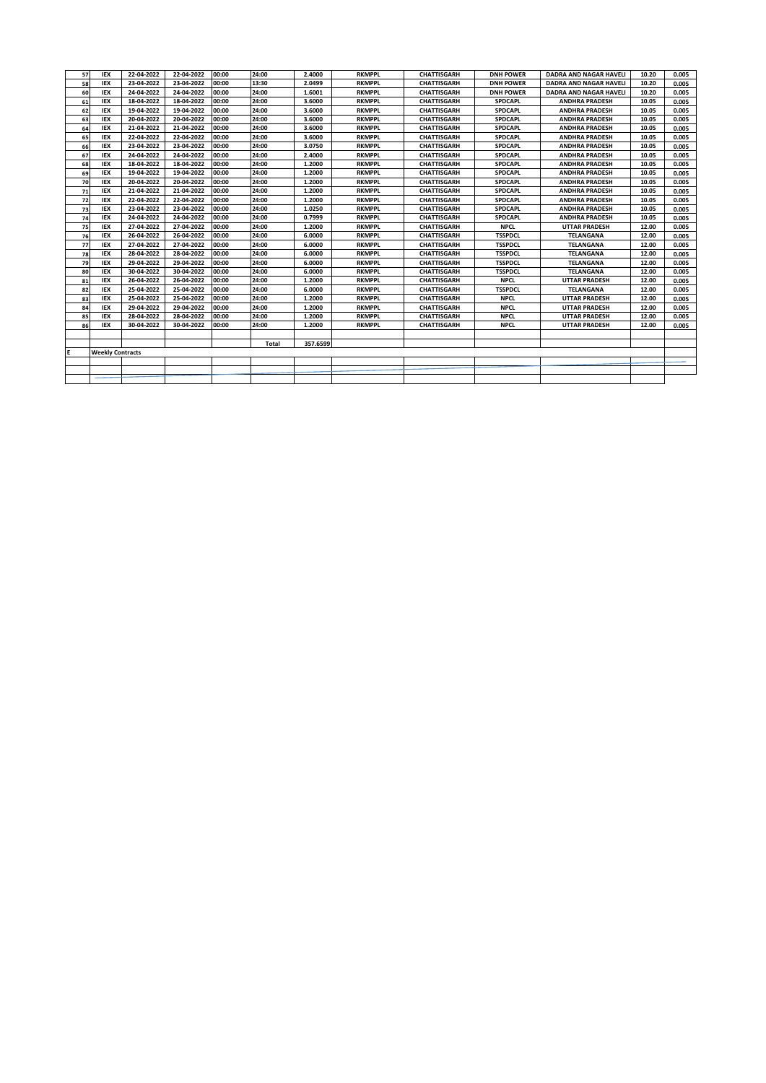| 57 | <b>IEX</b>              | 22-04-2022 | 22-04-2022 | 00:00 | 24:00 | 2.4000   | <b>RKMPPL</b> | <b>CHATTISGARH</b> | <b>DNH POWER</b> | <b>DADRA AND NAGAR HAVELI</b> | 10.20 | 0.005 |
|----|-------------------------|------------|------------|-------|-------|----------|---------------|--------------------|------------------|-------------------------------|-------|-------|
| 58 | <b>IEX</b>              | 23-04-2022 | 23-04-2022 | 00:00 | 13:30 | 2.0499   | <b>RKMPPL</b> | <b>CHATTISGARH</b> | <b>DNH POWER</b> | <b>DADRA AND NAGAR HAVELI</b> | 10.20 | 0.005 |
| 60 | <b>IEX</b>              | 24-04-2022 | 24-04-2022 | 00:00 | 24:00 | 1.6001   | <b>RKMPPL</b> | <b>CHATTISGARH</b> | <b>DNH POWER</b> | DADRA AND NAGAR HAVELI        | 10.20 | 0.005 |
| 61 | <b>IEX</b>              | 18-04-2022 | 18-04-2022 | 00:00 | 24:00 | 3.6000   | <b>RKMPPL</b> | <b>CHATTISGARH</b> | <b>SPDCAPL</b>   | <b>ANDHRA PRADESH</b>         | 10.05 | 0.005 |
| 62 | <b>IEX</b>              | 19-04-2022 | 19-04-2022 | 00:00 | 24:00 | 3.6000   | <b>RKMPPL</b> | <b>CHATTISGARH</b> | <b>SPDCAPL</b>   | <b>ANDHRA PRADESH</b>         | 10.05 | 0.005 |
| 63 | <b>IEX</b>              | 20-04-2022 | 20-04-2022 | 00:00 | 24:00 | 3.6000   | <b>RKMPPL</b> | <b>CHATTISGARH</b> | SPDCAPL          | <b>ANDHRA PRADESH</b>         | 10.05 | 0.005 |
| 64 | <b>IEX</b>              | 21-04-2022 | 21-04-2022 | 00:00 | 24:00 | 3.6000   | <b>RKMPPL</b> | <b>CHATTISGARH</b> | <b>SPDCAPL</b>   | <b>ANDHRA PRADESH</b>         | 10.05 | 0.005 |
| 65 | <b>IEX</b>              | 22-04-2022 | 22-04-2022 | 00:00 | 24:00 | 3.6000   | <b>RKMPPL</b> | <b>CHATTISGARH</b> | <b>SPDCAPL</b>   | <b>ANDHRA PRADESH</b>         | 10.05 | 0.005 |
| 66 | <b>IEX</b>              | 23-04-2022 | 23-04-2022 | 00:00 | 24:00 | 3.0750   | <b>RKMPPL</b> | <b>CHATTISGARH</b> | <b>SPDCAPL</b>   | <b>ANDHRA PRADESH</b>         | 10.05 | 0.005 |
| 67 | <b>IEX</b>              | 24-04-2022 | 24-04-2022 | 00:00 | 24:00 | 2.4000   | <b>RKMPPL</b> | <b>CHATTISGARH</b> | <b>SPDCAPL</b>   | <b>ANDHRA PRADESH</b>         | 10.05 | 0.005 |
| 68 | <b>IEX</b>              | 18-04-2022 | 18-04-2022 | 00:00 | 24:00 | 1.2000   | <b>RKMPPL</b> | <b>CHATTISGARH</b> | <b>SPDCAPL</b>   | <b>ANDHRA PRADESH</b>         | 10.05 | 0.005 |
| 69 | <b>IEX</b>              | 19-04-2022 | 19-04-2022 | 00:00 | 24:00 | 1.2000   | <b>RKMPPL</b> | <b>CHATTISGARH</b> | <b>SPDCAPL</b>   | <b>ANDHRA PRADESH</b>         | 10.05 | 0.005 |
| 70 | <b>IEX</b>              | 20-04-2022 | 20-04-2022 | 00:00 | 24:00 | 1.2000   | <b>RKMPPL</b> | <b>CHATTISGARH</b> | <b>SPDCAPL</b>   | <b>ANDHRA PRADESH</b>         | 10.05 | 0.005 |
| 71 | <b>IEX</b>              | 21-04-2022 | 21-04-2022 | 00:00 | 24:00 | 1.2000   | <b>RKMPPL</b> | <b>CHATTISGARH</b> | <b>SPDCAPL</b>   | <b>ANDHRA PRADESH</b>         | 10.05 | 0.005 |
| 72 | <b>IEX</b>              | 22-04-2022 | 22-04-2022 | 00:00 | 24:00 | 1.2000   | <b>RKMPPL</b> | <b>CHATTISGARH</b> | <b>SPDCAPL</b>   | <b>ANDHRA PRADESH</b>         | 10.05 | 0.005 |
| 73 | <b>IEX</b>              | 23-04-2022 | 23-04-2022 | 00:00 | 24:00 | 1.0250   | <b>RKMPPL</b> | <b>CHATTISGARH</b> | <b>SPDCAPL</b>   | <b>ANDHRA PRADESH</b>         | 10.05 | 0.005 |
| 74 | <b>IEX</b>              | 24-04-2022 | 24-04-2022 | 00:00 | 24:00 | 0.7999   | <b>RKMPPL</b> | <b>CHATTISGARH</b> | <b>SPDCAPL</b>   | <b>ANDHRA PRADESH</b>         | 10.05 | 0.005 |
| 75 | <b>IEX</b>              | 27-04-2022 | 27-04-2022 | 00:00 | 24:00 | 1.2000   | <b>RKMPPL</b> | <b>CHATTISGARH</b> | <b>NPCL</b>      | <b>UTTAR PRADESH</b>          | 12.00 | 0.005 |
| 76 | <b>IEX</b>              | 26-04-2022 | 26-04-2022 | 00:00 | 24:00 | 6.0000   | <b>RKMPPL</b> | <b>CHATTISGARH</b> | <b>TSSPDCL</b>   | <b>TELANGANA</b>              | 12.00 | 0.005 |
| 77 | <b>IEX</b>              | 27-04-2022 | 27-04-2022 | 00:00 | 24:00 | 6.0000   | <b>RKMPPL</b> | <b>CHATTISGARH</b> | <b>TSSPDCL</b>   | <b>TELANGANA</b>              | 12.00 | 0.005 |
| 78 | <b>IEX</b>              | 28-04-2022 | 28-04-2022 | 00:00 | 24:00 | 6.0000   | <b>RKMPPL</b> | <b>CHATTISGARH</b> | <b>TSSPDCL</b>   | <b>TELANGANA</b>              | 12.00 | 0.005 |
| 79 | <b>IEX</b>              | 29-04-2022 | 29-04-2022 | 00:00 | 24:00 | 6.0000   | <b>RKMPPL</b> | <b>CHATTISGARH</b> | <b>TSSPDCL</b>   | <b>TELANGANA</b>              | 12.00 | 0.005 |
| 80 | <b>IEX</b>              | 30-04-2022 | 30-04-2022 | 00:00 | 24:00 | 6.0000   | <b>RKMPPL</b> | <b>CHATTISGARH</b> | <b>TSSPDCL</b>   | <b>TELANGANA</b>              | 12.00 | 0.005 |
| 81 | <b>IEX</b>              | 26-04-2022 | 26-04-2022 | 00:00 | 24:00 | 1.2000   | <b>RKMPPL</b> | <b>CHATTISGARH</b> | <b>NPCL</b>      | <b>UTTAR PRADESH</b>          | 12.00 | 0.005 |
| 82 | <b>IEX</b>              | 25-04-2022 | 25-04-2022 | 00:00 | 24:00 | 6.0000   | <b>RKMPPL</b> | <b>CHATTISGARH</b> | <b>TSSPDCL</b>   | <b>TELANGANA</b>              | 12.00 | 0.005 |
| 83 | <b>IEX</b>              | 25-04-2022 | 25-04-2022 | 00:00 | 24:00 | 1.2000   | <b>RKMPPL</b> | <b>CHATTISGARH</b> | <b>NPCL</b>      | <b>UTTAR PRADESH</b>          | 12.00 | 0.005 |
| 84 | <b>IEX</b>              | 29-04-2022 | 29-04-2022 | 00:00 | 24:00 | 1.2000   | <b>RKMPPL</b> | <b>CHATTISGARH</b> | <b>NPCL</b>      | <b>UTTAR PRADESH</b>          | 12.00 | 0.005 |
| 85 | <b>IEX</b>              | 28-04-2022 | 28-04-2022 | 00:00 | 24:00 | 1.2000   | <b>RKMPPL</b> | <b>CHATTISGARH</b> | <b>NPCL</b>      | <b>UTTAR PRADESH</b>          | 12.00 | 0.005 |
| 86 | <b>IEX</b>              | 30-04-2022 | 30-04-2022 | 00:00 | 24:00 | 1.2000   | <b>RKMPPL</b> | <b>CHATTISGARH</b> | <b>NPCL</b>      | <b>UTTAR PRADESH</b>          | 12.00 | 0.005 |
|    |                         |            |            |       |       |          |               |                    |                  |                               |       |       |
|    |                         |            |            |       | Total | 357.6599 |               |                    |                  |                               |       |       |
| E  | <b>Weekly Contracts</b> |            |            |       |       |          |               |                    |                  |                               |       |       |
|    |                         |            |            |       |       |          |               |                    |                  |                               |       |       |
|    |                         |            |            |       |       |          |               |                    |                  |                               |       |       |
|    |                         |            |            |       |       |          |               |                    |                  |                               |       |       |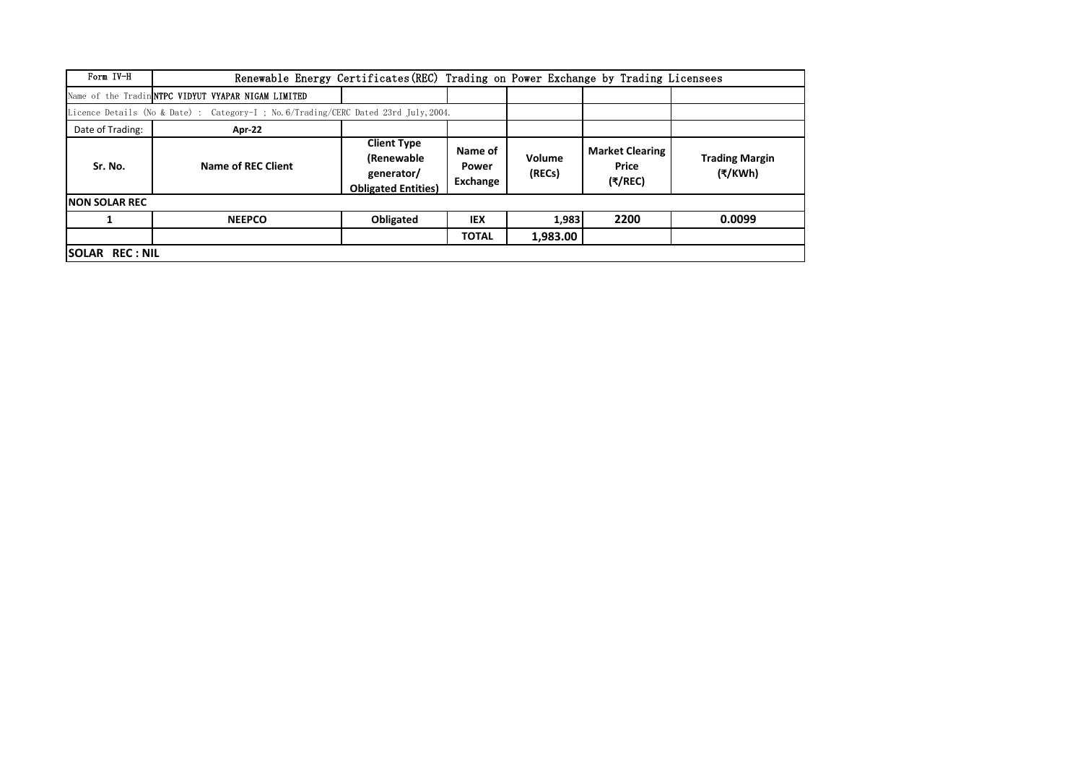| Form IV-H              | Renewable Energy Certificates (REC) Trading on Power Exchange by Trading Licensees   |                                                                              |                                     |                  |                                            |                                  |
|------------------------|--------------------------------------------------------------------------------------|------------------------------------------------------------------------------|-------------------------------------|------------------|--------------------------------------------|----------------------------------|
|                        | Name of the Tradin NTPC VIDYUT VYAPAR NIGAM LIMITED                                  |                                                                              |                                     |                  |                                            |                                  |
|                        | Licence Details (No & Date) : Category-I ; No. 6/Trading/CERC Dated 23rd July, 2004. |                                                                              |                                     |                  |                                            |                                  |
| Date of Trading:       | Apr-22                                                                               |                                                                              |                                     |                  |                                            |                                  |
| Sr. No.                | Name of REC Client                                                                   | <b>Client Type</b><br>(Renewable<br>generator/<br><b>Obligated Entities)</b> | Name of<br>Power<br><b>Exchange</b> | Volume<br>(RECs) | <b>Market Clearing</b><br>Price<br>(₹/REC) | <b>Trading Margin</b><br>(₹/KWh) |
| <b>INON SOLAR REC</b>  |                                                                                      |                                                                              |                                     |                  |                                            |                                  |
|                        | <b>NEEPCO</b>                                                                        | Obligated                                                                    | <b>IEX</b>                          | 1,983            | 2200                                       | 0.0099                           |
|                        |                                                                                      |                                                                              | <b>TOTAL</b>                        | 1,983.00         |                                            |                                  |
| <b>ISOLAR REC: NIL</b> |                                                                                      |                                                                              |                                     |                  |                                            |                                  |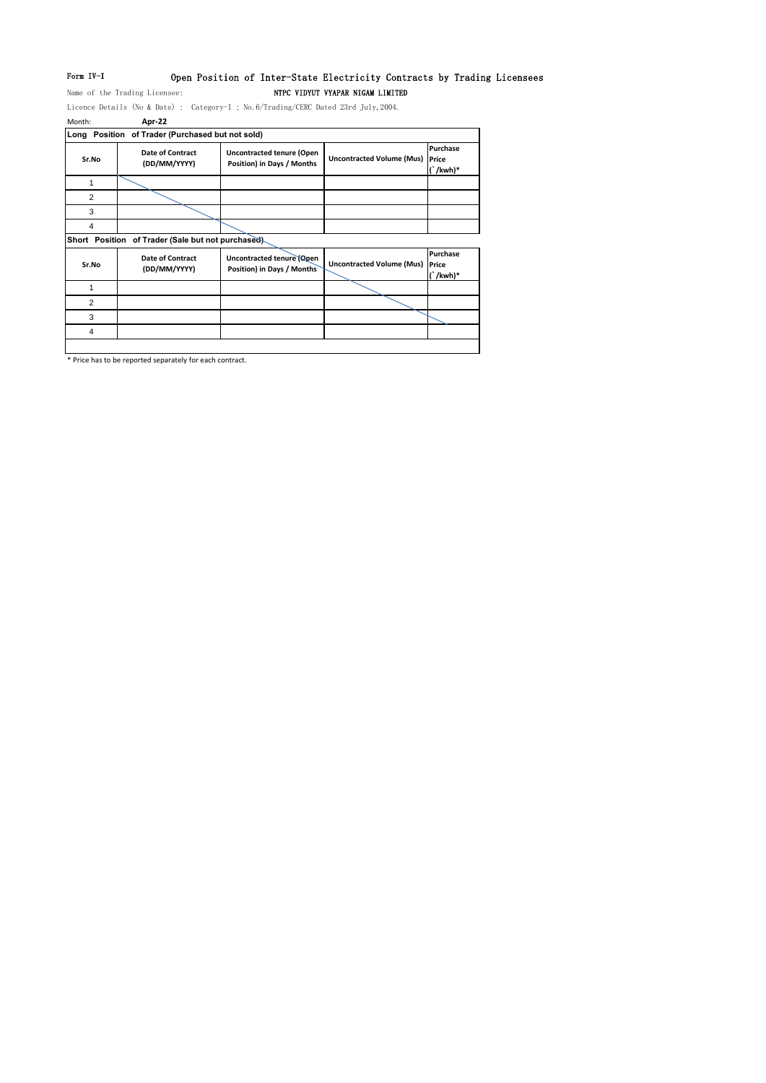# Form IV-I Open Position of Inter-State Electricity Contracts by Trading Licensees

Name of the Trading Licensee: NTPC VIDYUT VYAPAR NIGAM LIMITED

Licence Details (No & Date) : Category-I ; No.6/Trading/CERC Dated 23rd July,2004. Month: **Apr-22**

|       | Long Position of Trader (Purchased but not sold)  |                                                                |                                  |                                    |
|-------|---------------------------------------------------|----------------------------------------------------------------|----------------------------------|------------------------------------|
| Sr.No | <b>Date of Contract</b><br>(DD/MM/YYYY)           | <b>Uncontracted tenure (Open</b><br>Position) in Days / Months | <b>Uncontracted Volume (Mus)</b> | Purchase<br>Price<br>$\int$ /kwh)* |
|       |                                                   |                                                                |                                  |                                    |
| 2     |                                                   |                                                                |                                  |                                    |
| 3     |                                                   |                                                                |                                  |                                    |
|       |                                                   |                                                                |                                  |                                    |
|       | Short Position of Trader (Sale but not purchased) |                                                                |                                  |                                    |
| Sr.No | <b>Date of Contract</b><br>(DD/MM/VVVV)           | Uncontracted tenure (Open<br><b>Docition) in Dave / Monthe</b> | <b>Uncontracted Volume (Mus)</b> | Purchase<br>Price                  |

| Sr.No | <b>Date of Contract</b><br>(DD/MM/YYYY) | <b>Uncontracted tenure (Open</b><br>Position) in Days / Months | Uncontracted Volume (Mus) Price | <b>Purchase</b><br>$(\nkwh)*$ |
|-------|-----------------------------------------|----------------------------------------------------------------|---------------------------------|-------------------------------|
|       |                                         |                                                                |                                 |                               |
|       |                                         |                                                                |                                 |                               |
|       |                                         |                                                                |                                 |                               |
|       |                                         |                                                                |                                 |                               |
|       |                                         |                                                                |                                 |                               |

\* Price has to be reported separately for each contract.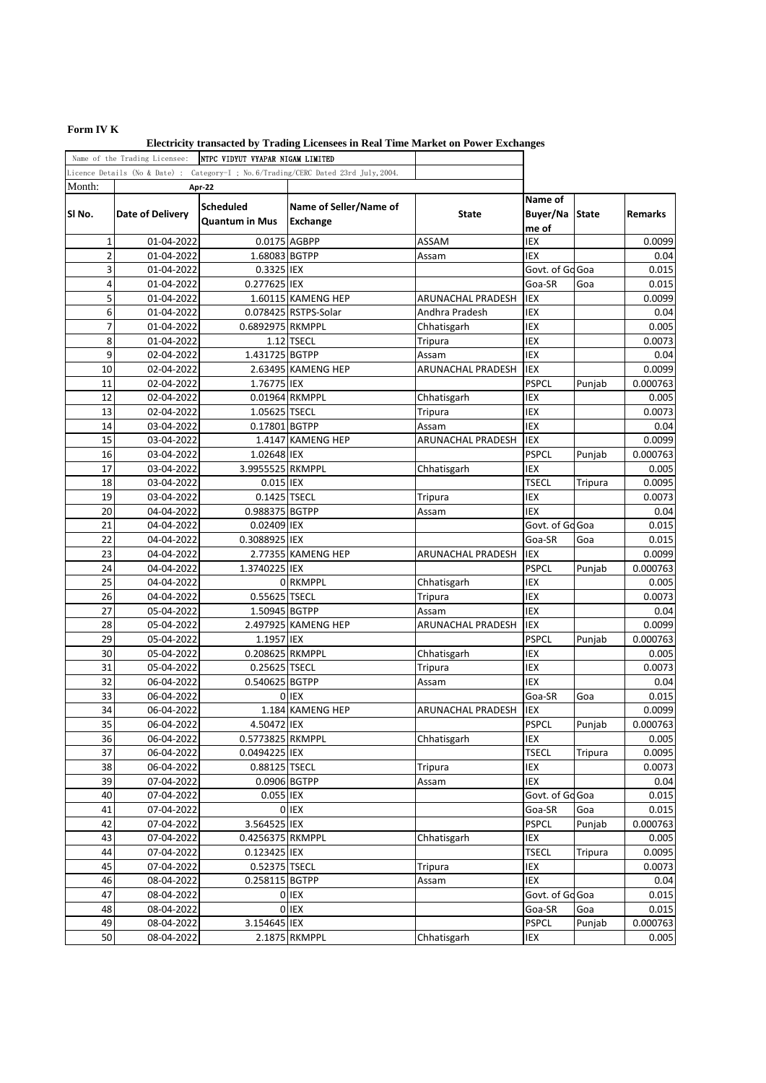# **Form IV K**

|                | Name of the Trading Licensee: | NTPC VIDYUT VYAPAR NIGAM LIMITED          |                                                                                      |                   |                              |         |          |
|----------------|-------------------------------|-------------------------------------------|--------------------------------------------------------------------------------------|-------------------|------------------------------|---------|----------|
|                |                               |                                           | Licence Details (No & Date) : Category-I ; No. 6/Trading/CERC Dated 23rd July, 2004. |                   |                              |         |          |
| Month:         |                               | Apr-22                                    |                                                                                      |                   |                              |         |          |
| SI No.         | <b>Date of Delivery</b>       | <b>Scheduled</b><br><b>Quantum in Mus</b> | Name of Seller/Name of<br>Exchange                                                   | State             | Name of<br>Buyer/Na<br>me of | State   | Remarks  |
| 1              | 01-04-2022                    |                                           | 0.0175 AGBPP                                                                         | ASSAM             | IEX                          |         | 0.0099   |
| $\overline{2}$ | 01-04-2022                    | 1.68083 BGTPP                             |                                                                                      | Assam             | IEX                          |         | 0.04     |
| 3              | 01-04-2022                    | 0.3325 IEX                                |                                                                                      |                   | Govt. of Go Goa              |         | 0.015    |
| 4              | 01-04-2022                    | 0.277625 IEX                              |                                                                                      |                   | Goa-SR                       | Goa     | 0.015    |
| 5              | 01-04-2022                    |                                           | 1.60115 KAMENG HEP                                                                   | ARUNACHAL PRADESH | IEX                          |         | 0.0099   |
| 6              | 01-04-2022                    |                                           | 0.078425 RSTPS-Solar                                                                 | Andhra Pradesh    | IEX                          |         | 0.04     |
| 7              | 01-04-2022                    | 0.6892975 RKMPPL                          |                                                                                      | Chhatisgarh       | IEX                          |         | 0.005    |
| 8              | 01-04-2022                    |                                           | $1.12$ TSECL                                                                         | Tripura           | IEX                          |         | 0.0073   |
| 9              | 02-04-2022                    | 1.431725 BGTPP                            |                                                                                      | Assam             | IEX                          |         | 0.04     |
| 10             | 02-04-2022                    |                                           | 2.63495 KAMENG HEP                                                                   | ARUNACHAL PRADESH | IEX                          |         | 0.0099   |
| 11             | 02-04-2022                    | 1.76775 IEX                               |                                                                                      |                   | <b>PSPCL</b>                 | Punjab  | 0.000763 |
| 12             | 02-04-2022                    |                                           | 0.01964 RKMPPL                                                                       | Chhatisgarh       | IEX                          |         | 0.005    |
| 13             | 02-04-2022                    | 1.05625 TSECL                             |                                                                                      | Tripura           | IEX                          |         | 0.0073   |
| 14             | 03-04-2022                    | 0.17801 BGTPP                             |                                                                                      | Assam             | IEX                          |         | 0.04     |
| 15             | 03-04-2022                    |                                           | 1.4147 KAMENG HEP                                                                    | ARUNACHAL PRADESH | IEX                          |         | 0.0099   |
| 16             | 03-04-2022                    | 1.02648 IEX                               |                                                                                      |                   | <b>PSPCL</b>                 | Punjab  | 0.000763 |
| 17             | 03-04-2022                    | 3.9955525 RKMPPL                          |                                                                                      | Chhatisgarh       | IEX                          |         | 0.005    |
| 18             | 03-04-2022                    | 0.015 IEX                                 |                                                                                      |                   | <b>TSECL</b>                 | Tripura | 0.0095   |
| 19             | 03-04-2022                    | 0.1425 TSECL                              |                                                                                      | Tripura           | IEX                          |         | 0.0073   |
| 20             | 04-04-2022                    | 0.988375 BGTPP                            |                                                                                      | Assam             | IEX                          |         | 0.04     |
| 21             | 04-04-2022                    | 0.02409 IEX                               |                                                                                      |                   | Govt. of Go Goa              |         | 0.015    |
| 22             | 04-04-2022                    | 0.3088925 IEX                             |                                                                                      |                   | Goa-SR                       | Goa     | 0.015    |
| 23             | 04-04-2022                    |                                           | 2.77355 KAMENG HEP                                                                   | ARUNACHAL PRADESH | IEX                          |         | 0.0099   |
| 24             | 04-04-2022                    | 1.3740225 IEX                             |                                                                                      |                   | <b>PSPCL</b>                 | Punjab  | 0.000763 |
| 25             | 04-04-2022                    |                                           | 0 RKMPPL                                                                             | Chhatisgarh       | IEX                          |         | 0.005    |
| 26             | 04-04-2022                    | 0.55625 TSECL                             |                                                                                      | Tripura           | IEX                          |         | 0.0073   |
| 27             | 05-04-2022                    | 1.50945 BGTPP                             |                                                                                      | Assam             | IEX                          |         | 0.04     |
| 28             | 05-04-2022                    |                                           | 2.497925 KAMENG HEP                                                                  | ARUNACHAL PRADESH | IEX                          |         | 0.0099   |
| 29             | 05-04-2022                    | 1.1957 IEX                                |                                                                                      |                   | <b>PSPCL</b>                 | Punjab  | 0.000763 |
| 30             | 05-04-2022                    | 0.208625 RKMPPL                           |                                                                                      | Chhatisgarh       | IEX                          |         | 0.005    |
| 31             | 05-04-2022                    | 0.25625 TSECL                             |                                                                                      | Tripura           | IEX                          |         | 0.0073   |
| 32             | 06-04-2022                    | 0.540625 BGTPP                            |                                                                                      | Assam             | IEX                          |         | 0.04     |
| 33             | 06-04-2022                    |                                           | 0 IEX                                                                                |                   | Goa-SR                       | Goa     | 0.015    |
| 34             | 06-04-2022                    |                                           | 1.184 KAMENG HEP                                                                     | ARUNACHAL PRADESH | IEX                          |         | 0.0099   |
| 35             | 06-04-2022                    | 4.50472 IEX                               |                                                                                      |                   | <b>PSPCL</b>                 | Punjab  | 0.000763 |
| 36             | 06-04-2022                    | 0.5773825 RKMPPL                          |                                                                                      | Chhatisgarh       | IEX                          |         | 0.005    |
| 37             | 06-04-2022                    | 0.0494225 IEX                             |                                                                                      |                   | <b>TSECL</b>                 | Tripura | 0.0095   |
| 38             | 06-04-2022                    | 0.88125 TSECL                             |                                                                                      | Tripura           | IEX                          |         | 0.0073   |
| 39             | 07-04-2022                    |                                           | 0.0906 BGTPP                                                                         | Assam             | IEX                          |         | 0.04     |
| 40             | 07-04-2022                    | 0.055 IEX                                 |                                                                                      |                   | Govt. of Go Goa              |         | 0.015    |
| 41             | 07-04-2022                    |                                           | 0 IEX                                                                                |                   | Goa-SR                       | Goa     | 0.015    |
| 42             | 07-04-2022                    | 3.564525 IEX                              |                                                                                      |                   | <b>PSPCL</b>                 | Punjab  | 0.000763 |
| 43             | 07-04-2022                    | 0.4256375 RKMPPL                          |                                                                                      | Chhatisgarh       | IEX                          |         | 0.005    |
| 44             | 07-04-2022                    | 0.123425 IEX                              |                                                                                      |                   | <b>TSECL</b>                 | Tripura | 0.0095   |
| 45             | 07-04-2022                    | 0.52375 TSECL                             |                                                                                      | Tripura           | IEX                          |         | 0.0073   |
| 46             | 08-04-2022                    | 0.258115 BGTPP                            |                                                                                      | Assam             | IEX                          |         | 0.04     |
| 47             | 08-04-2022                    |                                           | 0 IEX                                                                                |                   | Govt. of Go Goa              |         | 0.015    |
| 48             | 08-04-2022                    |                                           | 0 IEX                                                                                |                   | Goa-SR                       | Goa     | 0.015    |
| 49             | 08-04-2022                    | 3.154645 IEX                              |                                                                                      |                   | <b>PSPCL</b>                 | Punjab  | 0.000763 |
| 50             | 08-04-2022                    |                                           | 2.1875 RKMPPL                                                                        | Chhatisgarh       | IEX                          |         | 0.005    |

**Electricity transacted by Trading Licensees in Real Time Market on Power Exchanges**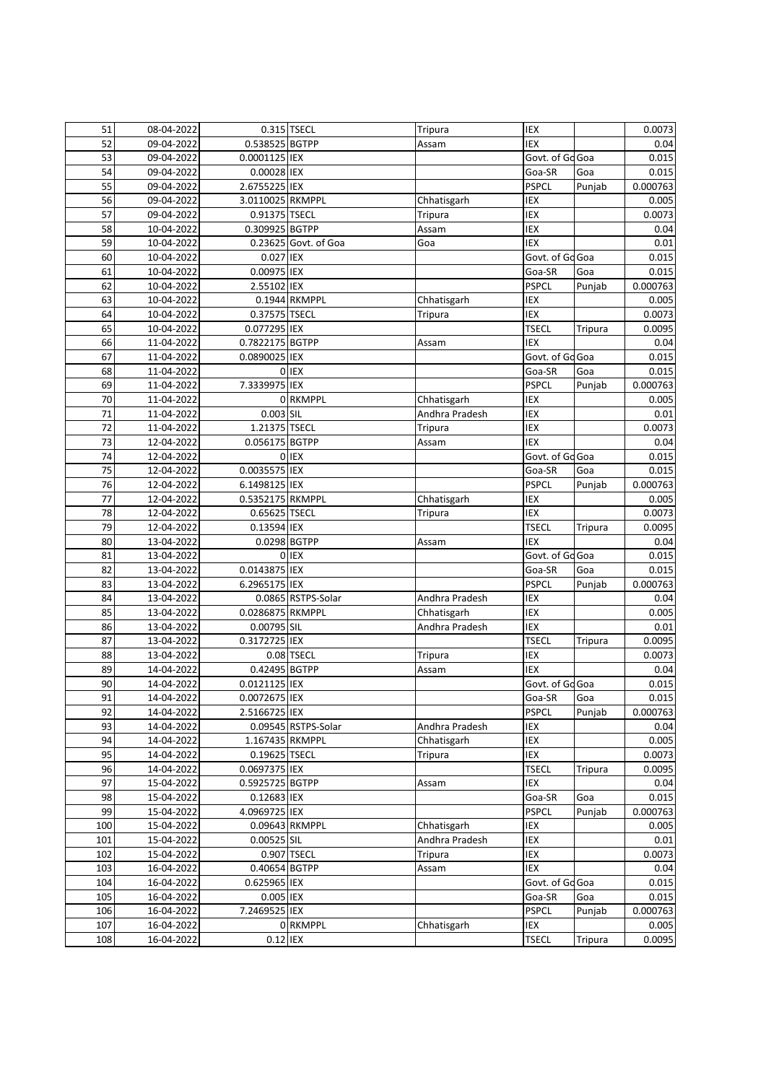| 51         | 08-04-2022               |                  | 0.315 TSECL          | Tripura        | IEX                 |                | 0.0073                                                                                                                                                                                                                                       |
|------------|--------------------------|------------------|----------------------|----------------|---------------------|----------------|----------------------------------------------------------------------------------------------------------------------------------------------------------------------------------------------------------------------------------------------|
| 52         | 09-04-2022               | 0.538525 BGTPP   |                      | Assam          | IEX                 |                | 0.04                                                                                                                                                                                                                                         |
| 53         | 09-04-2022               | 0.0001125 IEX    |                      |                | Govt. of Go Goa     |                | 0.015                                                                                                                                                                                                                                        |
| 54         | 09-04-2022               | 0.00028 IEX      |                      |                | Goa-SR              | Goa            | 0.015                                                                                                                                                                                                                                        |
| 55         | 09-04-2022               | 2.6755225 IEX    |                      |                | <b>PSPCL</b>        | Punjab         | 0.000763                                                                                                                                                                                                                                     |
| 56         | 09-04-2022               | 3.0110025 RKMPPL |                      | Chhatisgarh    | IEX                 |                | 0.005                                                                                                                                                                                                                                        |
| 57         | 09-04-2022               | 0.91375 TSECL    |                      | Tripura        | IEX                 |                | 0.0073                                                                                                                                                                                                                                       |
| 58         | 10-04-2022               | 0.309925 BGTPP   |                      | Assam          | IEX                 |                | 0.04                                                                                                                                                                                                                                         |
| 59         | 10-04-2022               |                  | 0.23625 Govt. of Goa | Goa            | <b>IEX</b>          |                | 0.01                                                                                                                                                                                                                                         |
| 60         | 10-04-2022               | 0.027 IEX        |                      |                | Govt. of Go Goa     |                | 0.015                                                                                                                                                                                                                                        |
| 61         | 10-04-2022               | 0.00975 IEX      |                      |                | Goa-SR              | Goa            | 0.015                                                                                                                                                                                                                                        |
| 62         | 10-04-2022               | 2.55102 IEX      |                      |                | <b>PSPCL</b>        | Punjab         | 0.000763                                                                                                                                                                                                                                     |
| 63         | 10-04-2022               |                  | 0.1944 RKMPPL        | Chhatisgarh    | IEX                 |                | 0.005                                                                                                                                                                                                                                        |
| 64         | 10-04-2022               | 0.37575 TSECL    |                      | Tripura        | IEX                 |                | 0.0073                                                                                                                                                                                                                                       |
| 65         | 10-04-2022               | 0.077295 IEX     |                      |                | <b>TSECL</b>        | <b>Tripura</b> | 0.0095                                                                                                                                                                                                                                       |
| 66         | 11-04-2022               | 0.7822175 BGTPP  |                      | Assam          | <b>IEX</b>          |                | 0.04                                                                                                                                                                                                                                         |
| 67         | 11-04-2022               | 0.0890025 IEX    |                      |                | Govt. of Go Goa     |                | 0.015                                                                                                                                                                                                                                        |
| 68         | 11-04-2022               |                  | 0 IEX                |                | Goa-SR              | Goa            | 0.015                                                                                                                                                                                                                                        |
| 69         | 11-04-2022               | 7.3339975 IEX    |                      |                | <b>PSPCL</b>        | Punjab         | 0.000763                                                                                                                                                                                                                                     |
| 70         | 11-04-2022               |                  | 0 RKMPPL             | Chhatisgarh    | IEX                 |                | 0.005                                                                                                                                                                                                                                        |
| 71         | 11-04-2022               | 0.003 SIL        |                      | Andhra Pradesh | IEX                 |                | 0.01                                                                                                                                                                                                                                         |
| 72         | 11-04-2022               | 1.21375 TSECL    |                      | Tripura        | IEX                 |                | 0.0073                                                                                                                                                                                                                                       |
| 73         | 12-04-2022               | 0.056175 BGTPP   |                      | Assam          | <b>IEX</b>          |                | 0.04                                                                                                                                                                                                                                         |
| 74         | 12-04-2022               |                  | O IEX                |                | Govt. of Gd Goa     |                | 0.015                                                                                                                                                                                                                                        |
| 75         | 12-04-2022               | 0.0035575 IEX    |                      |                | Goa-SR              | Goa            | 0.015                                                                                                                                                                                                                                        |
| 76         | 12-04-2022               | 6.1498125 IEX    |                      |                | <b>PSPCL</b>        | Punjab         | 0.000763                                                                                                                                                                                                                                     |
| 77         | 12-04-2022               | 0.5352175 RKMPPL |                      | Chhatisgarh    | IEX                 |                | 0.005                                                                                                                                                                                                                                        |
| 78         | 12-04-2022               | 0.65625 TSECL    |                      | Tripura        | IEX                 |                | 0.0073                                                                                                                                                                                                                                       |
| 79         | 12-04-2022               | 0.13594 IEX      |                      |                | <b>TSECL</b>        | Tripura        | 0.0095                                                                                                                                                                                                                                       |
|            |                          |                  |                      |                |                     |                |                                                                                                                                                                                                                                              |
| 80         | 13-04-2022               | 0.0298 BGTPP     |                      | Assam          | <b>IEX</b>          |                |                                                                                                                                                                                                                                              |
| 81         | 13-04-2022               |                  | 0 IEX                |                | Govt. of Go Goa     |                |                                                                                                                                                                                                                                              |
| 82         | 13-04-2022               | 0.0143875 IEX    |                      |                | Goa-SR              | Goa            |                                                                                                                                                                                                                                              |
| 83         | 13-04-2022               | 6.2965175 IEX    |                      |                | <b>PSPCL</b>        | Punjab         |                                                                                                                                                                                                                                              |
| 84         | 13-04-2022               |                  | 0.0865 RSTPS-Solar   | Andhra Pradesh | IEX                 |                |                                                                                                                                                                                                                                              |
| 85         | 13-04-2022               | 0.0286875 RKMPPL |                      | Chhatisgarh    | IEX                 |                |                                                                                                                                                                                                                                              |
| 86         | 13-04-2022               | 0.00795 SIL      |                      | Andhra Pradesh | <b>IEX</b>          |                |                                                                                                                                                                                                                                              |
| 87         | 13-04-2022               | 0.3172725 IEX    |                      |                | <b>TSECL</b>        | Tripura        |                                                                                                                                                                                                                                              |
| 88         | 13-04-2022               |                  | 0.08 TSECL           | Tripura        | IEX                 |                |                                                                                                                                                                                                                                              |
| 89         | 14-04-2022               | 0.42495 BGTPP    |                      | Assam          | <b>IEX</b>          |                |                                                                                                                                                                                                                                              |
| 90         | 14-04-2022               | 0.0121125 IEX    |                      |                | Govt. of Ga Goa     |                |                                                                                                                                                                                                                                              |
| 91         | 14-04-2022               | 0.0072675 IEX    |                      |                | Goa-SR              | Goa            |                                                                                                                                                                                                                                              |
| 92         | 14-04-2022               | 2.5166725 IEX    |                      |                | <b>PSPCL</b>        | Punjab         |                                                                                                                                                                                                                                              |
| 93         | 14-04-2022               |                  | 0.09545 RSTPS-Solar  | Andhra Pradesh | IEX                 |                |                                                                                                                                                                                                                                              |
| 94         | 14-04-2022               | 1.167435 RKMPPL  |                      | Chhatisgarh    | IEX                 |                |                                                                                                                                                                                                                                              |
| 95         | 14-04-2022               | 0.19625 TSECL    |                      | Tripura        | IEX                 |                |                                                                                                                                                                                                                                              |
| 96         | 14-04-2022               | 0.0697375 IEX    |                      |                | <b>TSECL</b>        | Tripura        |                                                                                                                                                                                                                                              |
| 97         | 15-04-2022               | 0.5925725 BGTPP  |                      | Assam          | IEX                 |                |                                                                                                                                                                                                                                              |
| 98         | 15-04-2022               | 0.12683 IEX      |                      |                | Goa-SR              | Goa            |                                                                                                                                                                                                                                              |
| 99         | 15-04-2022               | 4.0969725 IEX    |                      |                | <b>PSPCL</b>        | Punjab         |                                                                                                                                                                                                                                              |
| 100        | 15-04-2022               |                  | 0.09643 RKMPPL       | Chhatisgarh    | IEX                 |                |                                                                                                                                                                                                                                              |
| 101        | 15-04-2022               | 0.00525 SIL      |                      | Andhra Pradesh | IEX                 |                |                                                                                                                                                                                                                                              |
| 102        | 15-04-2022               |                  | 0.907 TSECL          | Tripura        | IEX                 |                |                                                                                                                                                                                                                                              |
| 103        | 16-04-2022               | 0.40654 BGTPP    |                      | Assam          | IEX                 |                |                                                                                                                                                                                                                                              |
| 104        | 16-04-2022               | 0.625965 IEX     |                      |                | Govt. of Go Goa     |                |                                                                                                                                                                                                                                              |
| 105        | 16-04-2022               | 0.005 IEX        |                      |                | Goa-SR              | Goa            | 0.04<br>0.015<br>0.015<br>0.000763<br>0.04<br>0.005<br>0.01<br>0.0095<br>0.0073<br>0.04<br>0.015<br>0.015<br>0.000763<br>0.04<br>0.005<br>0.0073<br>0.0095<br>0.04<br>0.015<br>0.000763<br>0.005<br>0.01<br>0.0073<br>0.04<br>0.015<br>0.015 |
| 106        | 16-04-2022               | 7.2469525 IEX    |                      |                | <b>PSPCL</b>        | Punjab         |                                                                                                                                                                                                                                              |
| 107<br>108 | 16-04-2022<br>16-04-2022 | 0.12 IEX         | 0 RKMPPL             | Chhatisgarh    | IEX<br><b>TSECL</b> | Tripura        | 0.000763<br>0.005<br>0.0095                                                                                                                                                                                                                  |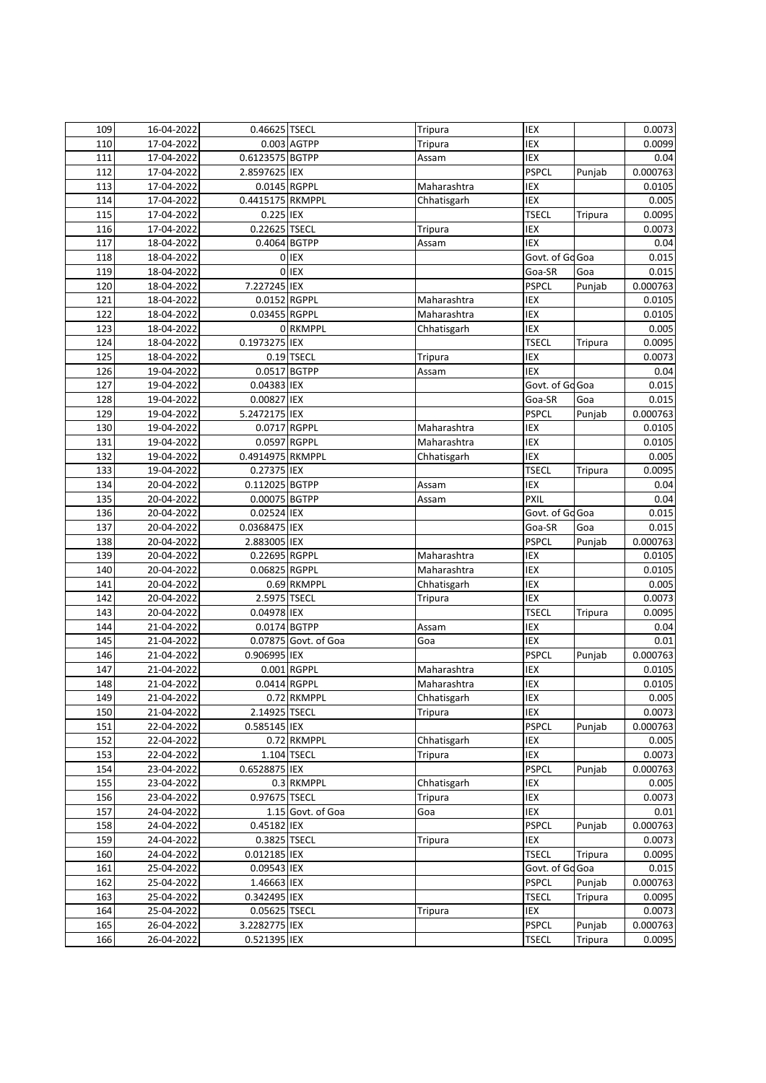| 109 | 16-04-2022 | 0.46625 TSECL    |                         | Tripura     | IEX             |                | 0.0073   |
|-----|------------|------------------|-------------------------|-------------|-----------------|----------------|----------|
| 110 | 17-04-2022 |                  | 0.003 AGTPP             | Tripura     | IEX             |                | 0.0099   |
| 111 | 17-04-2022 | 0.6123575 BGTPP  |                         | Assam       | IEX             |                | 0.04     |
| 112 | 17-04-2022 | 2.8597625 IEX    |                         |             | <b>PSPCL</b>    | Punjab         | 0.000763 |
| 113 | 17-04-2022 | 0.0145 RGPPL     |                         | Maharashtra | IEX             |                | 0.0105   |
| 114 | 17-04-2022 | 0.4415175 RKMPPL |                         | Chhatisgarh | IEX             |                | 0.005    |
| 115 | 17-04-2022 | 0.225 IEX        |                         |             | <b>TSECL</b>    | <b>Tripura</b> | 0.0095   |
| 116 | 17-04-2022 | 0.22625 TSECL    |                         | Tripura     | IEX             |                | 0.0073   |
| 117 | 18-04-2022 |                  | 0.4064 BGTPP            | Assam       | <b>IEX</b>      |                | 0.04     |
| 118 | 18-04-2022 |                  | 0 IEX                   |             | Govt. of Go Goa |                | 0.015    |
| 119 | 18-04-2022 |                  | 0 IEX                   |             | Goa-SR          | Goa            | 0.015    |
| 120 | 18-04-2022 | 7.227245 IEX     |                         |             | <b>PSPCL</b>    | Punjab         | 0.000763 |
| 121 | 18-04-2022 | 0.0152 RGPPL     |                         | Maharashtra | IEX             |                | 0.0105   |
| 122 | 18-04-2022 | 0.03455 RGPPL    |                         | Maharashtra | IEX             |                | 0.0105   |
| 123 | 18-04-2022 |                  | 0 RKMPPL                | Chhatisgarh | IEX             |                | 0.005    |
| 124 | 18-04-2022 | 0.1973275 IEX    |                         |             | <b>TSECL</b>    | <b>Tripura</b> | 0.0095   |
| 125 | 18-04-2022 |                  | $\overline{0.19}$ TSECL | Tripura     | <b>IEX</b>      |                | 0.0073   |
| 126 | 19-04-2022 | 0.0517 BGTPP     |                         | Assam       | <b>IEX</b>      |                | 0.04     |
| 127 | 19-04-2022 | 0.04383 IEX      |                         |             | Govt. of Go Goa |                | 0.015    |
| 128 | 19-04-2022 | 0.00827 IEX      |                         |             | Goa-SR          | Goa            | 0.015    |
| 129 | 19-04-2022 | 5.2472175 IEX    |                         |             | <b>PSPCL</b>    | Punjab         | 0.000763 |
| 130 | 19-04-2022 | 0.0717 RGPPL     |                         | Maharashtra | IEX             |                | 0.0105   |
| 131 | 19-04-2022 | 0.0597 RGPPL     |                         | Maharashtra | IEX             |                | 0.0105   |
| 132 | 19-04-2022 | 0.4914975 RKMPPL |                         | Chhatisgarh | IEX             |                | 0.005    |
| 133 | 19-04-2022 | 0.27375 IEX      |                         |             | <b>TSECL</b>    | <b>Tripura</b> | 0.0095   |
| 134 | 20-04-2022 | 0.112025 BGTPP   |                         | Assam       | IEX             |                | 0.04     |
| 135 | 20-04-2022 | 0.00075 BGTPP    |                         | Assam       | <b>PXIL</b>     |                | 0.04     |
| 136 | 20-04-2022 | 0.02524 IEX      |                         |             | Govt. of Go Goa |                | 0.015    |
| 137 | 20-04-2022 | 0.0368475 IEX    |                         |             | Goa-SR          | Goa            | 0.015    |
| 138 | 20-04-2022 | 2.883005 IEX     |                         |             | <b>PSPCL</b>    | Punjab         | 0.000763 |
| 139 | 20-04-2022 | 0.22695 RGPPL    |                         | Maharashtra | IEX             |                | 0.0105   |
| 140 | 20-04-2022 | 0.06825 RGPPL    |                         | Maharashtra | <b>IEX</b>      |                | 0.0105   |
| 141 | 20-04-2022 |                  | 0.69 RKMPPL             | Chhatisgarh | IEX             |                | 0.005    |
| 142 | 20-04-2022 | 2.5975 TSECL     |                         | Tripura     | IEX             |                | 0.0073   |
| 143 | 20-04-2022 | 0.04978 IEX      |                         |             | <b>TSECL</b>    | Tripura        | 0.0095   |
| 144 | 21-04-2022 |                  | 0.0174 BGTPP            | Assam       | IEX             |                | 0.04     |
| 145 | 21-04-2022 |                  | 0.07875 Govt. of Goa    | Goa         | IEX             |                | 0.01     |
| 146 | 21-04-2022 | 0.906995 IEX     |                         |             | <b>PSPCL</b>    | Punjab         | 0.000763 |
| 147 | 21-04-2022 |                  | 0.001 RGPPL             | Maharashtra | IEX             |                | 0.0105   |
| 148 | 21-04-2022 | 0.0414 RGPPL     |                         | Maharashtra | IEX             |                | 0.0105   |
| 149 | 21-04-2022 |                  | 0.72 RKMPPL             | Chhatisgarh | IEX             |                | 0.005    |
| 150 | 21-04-2022 | 2.14925 TSECL    |                         | Tripura     | IEX             |                | 0.0073   |
| 151 | 22-04-2022 | 0.585145 IEX     |                         |             | <b>PSPCL</b>    | Punjab         | 0.000763 |
| 152 | 22-04-2022 |                  | 0.72 RKMPPL             | Chhatisgarh | IEX             |                | 0.005    |
| 153 | 22-04-2022 |                  | 1.104 TSECL             | Tripura     | IEX             |                | 0.0073   |
| 154 | 23-04-2022 | 0.6528875 IEX    |                         |             | <b>PSPCL</b>    | Punjab         | 0.000763 |
| 155 | 23-04-2022 |                  | 0.3 RKMPPL              | Chhatisgarh | IEX             |                | 0.005    |
| 156 | 23-04-2022 | 0.97675 TSECL    |                         | Tripura     | IEX             |                | 0.0073   |
| 157 | 24-04-2022 |                  | 1.15 Govt. of Goa       | Goa         | IEX             |                | 0.01     |
| 158 | 24-04-2022 | 0.45182 IEX      |                         |             | <b>PSPCL</b>    | Punjab         | 0.000763 |
| 159 | 24-04-2022 | 0.3825 TSECL     |                         | Tripura     | IEX             |                | 0.0073   |
| 160 | 24-04-2022 | 0.012185 IEX     |                         |             | <b>TSECL</b>    | Tripura        | 0.0095   |
| 161 | 25-04-2022 | 0.09543 IEX      |                         |             | Govt. of Go Goa |                | 0.015    |
| 162 | 25-04-2022 | 1.46663 IEX      |                         |             | <b>PSPCL</b>    | Punjab         | 0.000763 |
| 163 | 25-04-2022 | 0.342495 IEX     |                         |             | <b>TSECL</b>    | Tripura        | 0.0095   |
| 164 | 25-04-2022 | 0.05625 TSECL    |                         | Tripura     | IEX             |                | 0.0073   |
| 165 | 26-04-2022 | 3.2282775 IEX    |                         |             | <b>PSPCL</b>    | Punjab         | 0.000763 |
| 166 | 26-04-2022 | 0.521395 IEX     |                         |             | <b>TSECL</b>    | Tripura        | 0.0095   |
|     |            |                  |                         |             |                 |                |          |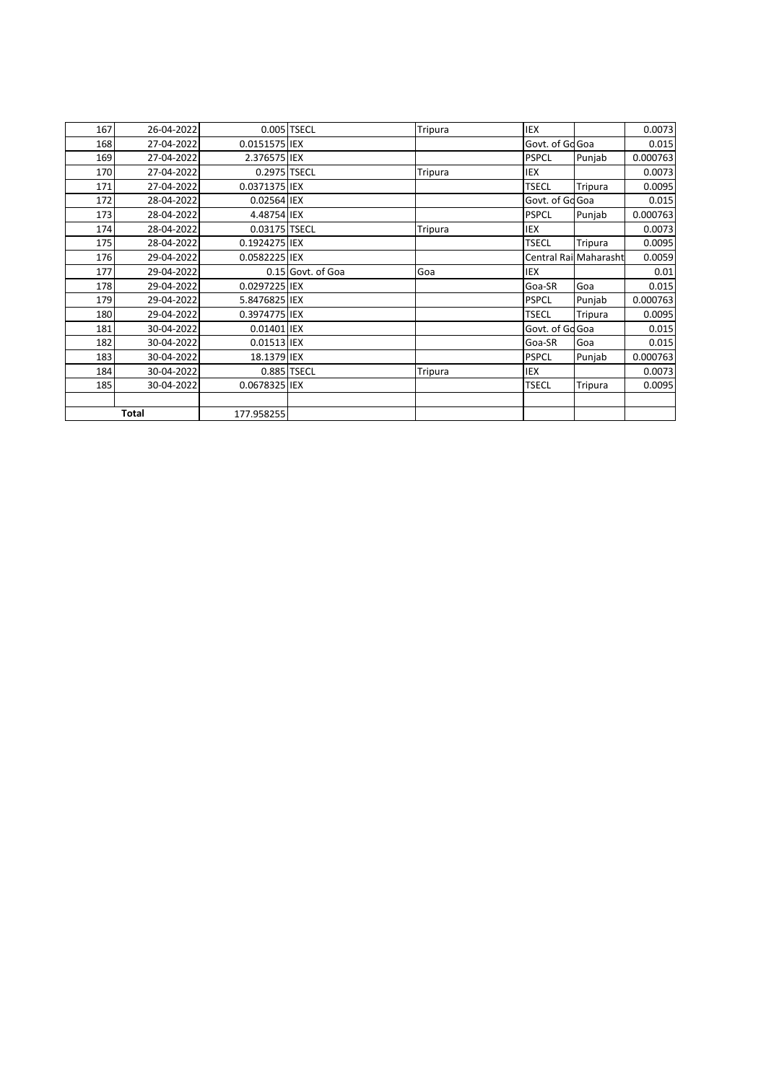| 167 | 26-04-2022 |               | 0.005 TSECL       | Tripura | <b>IEX</b>      |                        | 0.0073   |
|-----|------------|---------------|-------------------|---------|-----------------|------------------------|----------|
| 168 | 27-04-2022 | 0.0151575 IEX |                   |         | Govt. of Go Goa |                        | 0.015    |
| 169 | 27-04-2022 | 2.376575 IEX  |                   |         | <b>PSPCL</b>    | Punjab                 | 0.000763 |
| 170 | 27-04-2022 | 0.2975 TSECL  |                   | Tripura | IEX             |                        | 0.0073   |
| 171 | 27-04-2022 | 0.0371375 IEX |                   |         | <b>TSECL</b>    | Tripura                | 0.0095   |
| 172 | 28-04-2022 | 0.02564 IEX   |                   |         | Govt. of Gd Goa |                        | 0.015    |
| 173 | 28-04-2022 | 4.48754 IEX   |                   |         | <b>PSPCL</b>    | Punjab                 | 0.000763 |
| 174 | 28-04-2022 | 0.03175 TSECL |                   | Tripura | <b>IEX</b>      |                        | 0.0073   |
| 175 | 28-04-2022 | 0.1924275 IEX |                   |         | <b>TSECL</b>    | Tripura                | 0.0095   |
| 176 | 29-04-2022 | 0.0582225 IEX |                   |         |                 | Central Rail Maharasht | 0.0059   |
| 177 | 29-04-2022 |               | 0.15 Govt. of Goa | Goa     | IEX             |                        | 0.01     |
| 178 | 29-04-2022 | 0.0297225 IEX |                   |         | Goa-SR          | Goa                    | 0.015    |
| 179 | 29-04-2022 | 5.8476825 IEX |                   |         | <b>PSPCL</b>    | Punjab                 | 0.000763 |
| 180 | 29-04-2022 | 0.3974775 IEX |                   |         | <b>TSECL</b>    | Tripura                | 0.0095   |
| 181 | 30-04-2022 | 0.01401 IEX   |                   |         | Govt. of Go Goa |                        | 0.015    |
| 182 | 30-04-2022 | 0.01513 IEX   |                   |         | Goa-SR          | Goa                    | 0.015    |
| 183 | 30-04-2022 | 18.1379 IEX   |                   |         | <b>PSPCL</b>    | Punjab                 | 0.000763 |
| 184 | 30-04-2022 |               | 0.885 TSECL       | Tripura | IEX             |                        | 0.0073   |
| 185 | 30-04-2022 | 0.0678325 IEX |                   |         | <b>TSECL</b>    | Tripura                | 0.0095   |
|     |            |               |                   |         |                 |                        |          |
|     | Total      | 177.958255    |                   |         |                 |                        |          |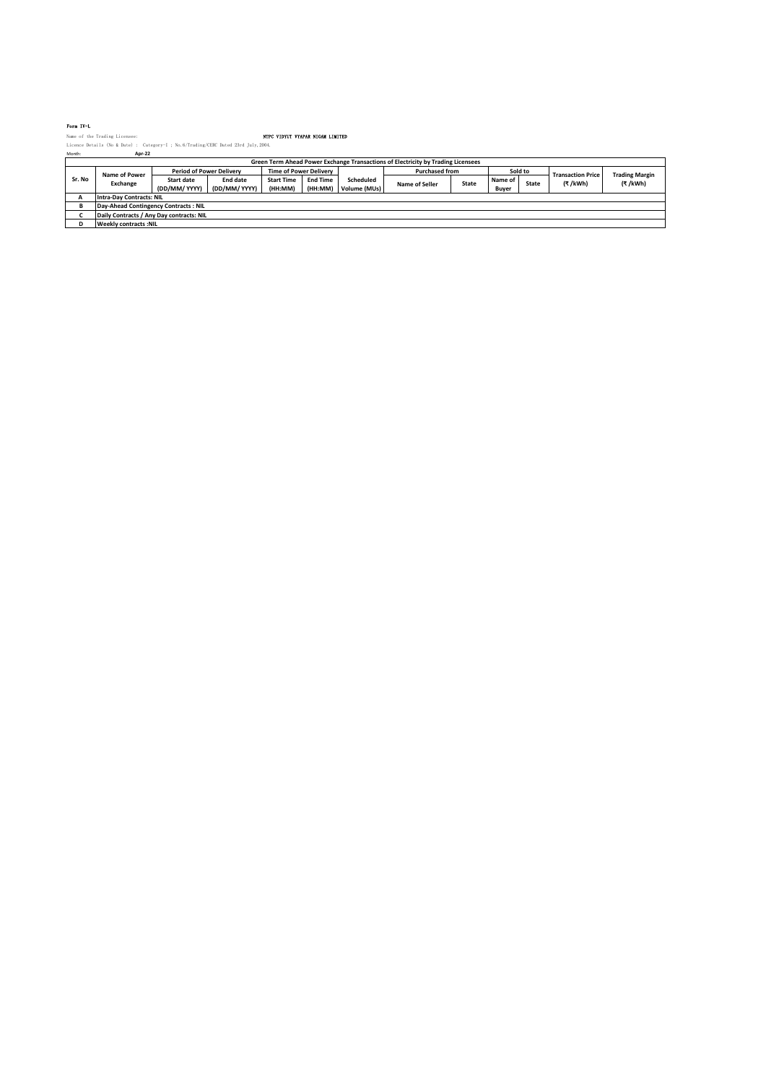### Form IV-L

|        | Name of the Trading Licensee:                                                        |                                 |               | NTPC VIDYUT VYAPAR NIGAM LIMITED |                 |              |                       |              |         |              |                          |                       |
|--------|--------------------------------------------------------------------------------------|---------------------------------|---------------|----------------------------------|-----------------|--------------|-----------------------|--------------|---------|--------------|--------------------------|-----------------------|
|        | Licence Details (No & Date) : Category-I : No. 6/Trading/CERC Dated 23rd July. 2004. |                                 |               |                                  |                 |              |                       |              |         |              |                          |                       |
| Month: | Apr-22                                                                               |                                 |               |                                  |                 |              |                       |              |         |              |                          |                       |
|        | Green Term Ahead Power Exchange Transactions of Electricity by Trading Licensees     |                                 |               |                                  |                 |              |                       |              |         |              |                          |                       |
| Sr. No | Name of Power                                                                        | <b>Period of Power Delivery</b> |               | <b>Time of Power Delivery</b>    |                 |              | <b>Purchased from</b> |              |         | Sold to      | <b>Transaction Price</b> | <b>Trading Margin</b> |
|        | Exchange                                                                             | Start date                      | End date      | <b>Start Time</b>                | <b>End Time</b> | Scheduled    | Name of Seller        | <b>State</b> | Name of | <b>State</b> | (₹/kWh)                  | (₹/kWh)               |
|        |                                                                                      | (DD/MM/ YYYY)                   | (DD/MM/ YYYY) | (HH:MM)                          | (HH:MM)         | Volume (MUs) |                       |              | Buyer   |              |                          |                       |
|        | <b>Intra-Dav Contracts: NIL</b>                                                      |                                 |               |                                  |                 |              |                       |              |         |              |                          |                       |
|        | Day-Ahead Contingency Contracts: NIL                                                 |                                 |               |                                  |                 |              |                       |              |         |              |                          |                       |
|        | Daily Contracts / Any Day contracts: NIL                                             |                                 |               |                                  |                 |              |                       |              |         |              |                          |                       |
| D      | <b>Weekly contracts:NIL</b>                                                          |                                 |               |                                  |                 |              |                       |              |         |              |                          |                       |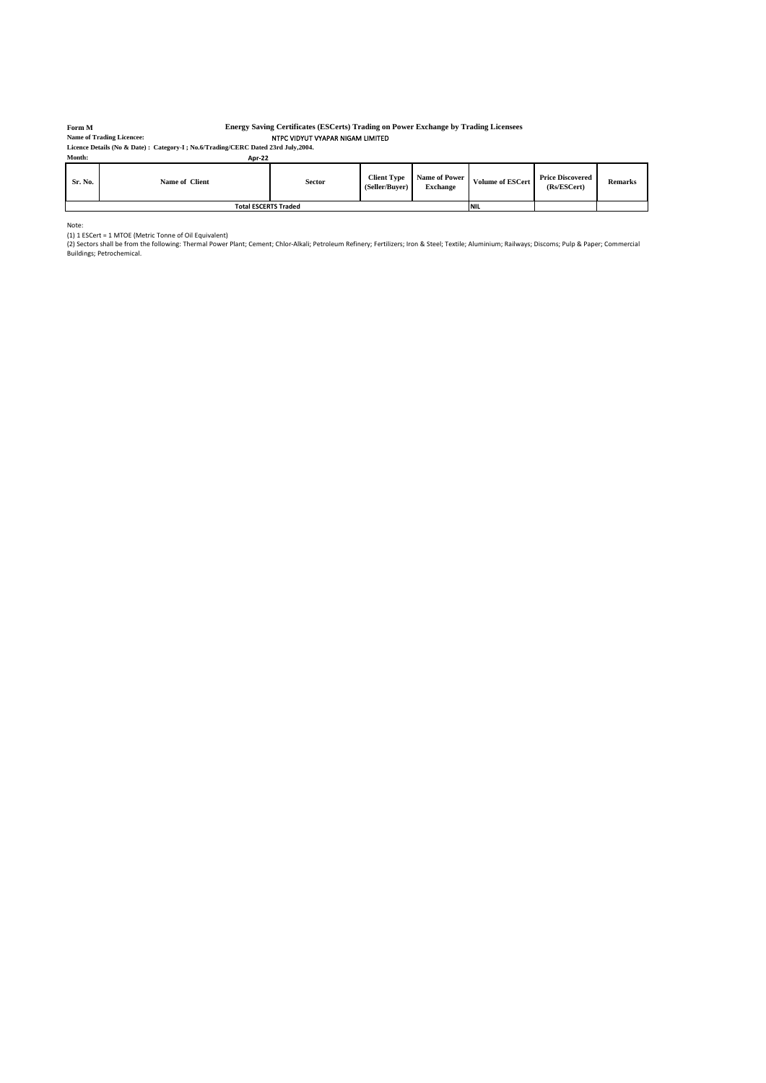### **Form M**

### NTPC VIDYUT VYAPAR NIGAM LIMITED **Energy Saving Certificates (ESCerts) Trading on Power Exchange by Trading Licensees**

**Licence Details (No & Date) : Category-I ; No.6/Trading/CERC Dated 23rd July,2004. Name of Trading Licencee:**

| Month:  | Apr-22                      |               |                                      |                                  |                         |                                        |                |
|---------|-----------------------------|---------------|--------------------------------------|----------------------------------|-------------------------|----------------------------------------|----------------|
| Sr. No. | Name of Client              | <b>Sector</b> | <b>Client Type</b><br>(Seller/Buver) | Name of Power<br><b>Exchange</b> | <b>Volume of ESCert</b> | <b>Price Discovered</b><br>(Rs/ESCert) | <b>Remarks</b> |
|         | <b>Total ESCERTS Traded</b> |               |                                      |                                  | <b>NIL</b>              |                                        |                |

Note:<br>(1) 1 ESCert = 1 MTOE (Metric Tonne of Oil Equivalent)<br>(2) Sectors shall be from the following: Thermal Power Plant; Cement; Chlor-Alkali; Petroleum Refinery; Fertilizers; Iron & Steel; Textile; Aluminium; Railways;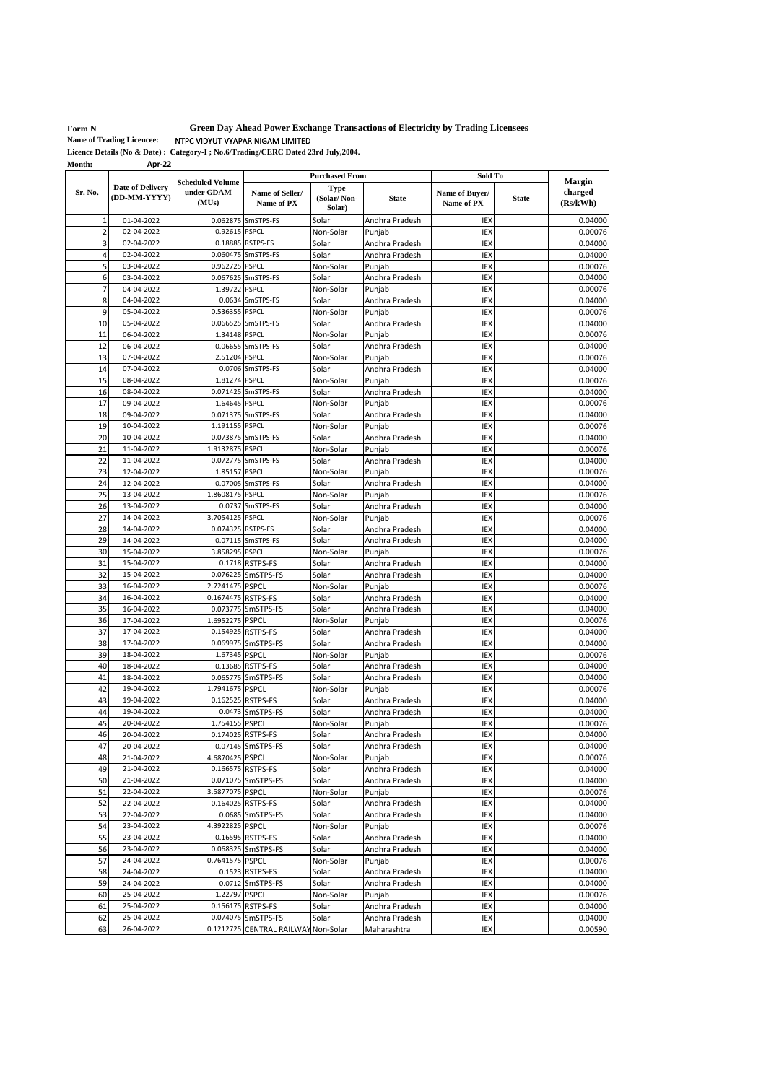**Form N** 

**Green Day Ahead Power Exchange Transactions of Electricity by Trading Licensees**

NTPC VIDYUT VYAPAR NIGAM LIMITED **Name of Trading Licencee:**

| Month:         | Apr-22                                  |                                                |                               |                                                     |                          |                                         |              |                                      |
|----------------|-----------------------------------------|------------------------------------------------|-------------------------------|-----------------------------------------------------|--------------------------|-----------------------------------------|--------------|--------------------------------------|
| Sr. No.        | <b>Date of Delivery</b><br>(DD-MM-YYYY) | <b>Scheduled Volume</b><br>under GDAM<br>(MUs) | Name of Seller/<br>Name of PX | <b>Purchased From</b><br><b>Type</b><br>(Solar/Non- | <b>State</b>             | Sold To<br>Name of Buyer/<br>Name of PX | <b>State</b> | <b>Margin</b><br>charged<br>(Rs/kWh) |
|                |                                         |                                                |                               | Solar)                                              |                          |                                         |              |                                      |
| 1              | 01-04-2022                              |                                                | 0.062875 SmSTPS-FS            | Solar                                               | Andhra Pradesh           | IEX                                     |              | 0.04000                              |
| $\overline{2}$ | 02-04-2022                              | 0.92615 PSPCL                                  |                               | Non-Solar                                           | Punjab                   | IEX                                     |              | 0.00076                              |
| 3              | 02-04-2022                              |                                                | 0.18885 RSTPS-FS              | Solar                                               | Andhra Pradesh           | IEX                                     |              | 0.04000                              |
| 4              | 02-04-2022                              | 0.060475                                       | SmSTPS-FS                     | Solar                                               | Andhra Pradesh           | IEX                                     |              | 0.04000                              |
| 5              | 03-04-2022                              | 0.962725                                       | <b>PSPCL</b>                  | Non-Solar                                           | Punjab                   | IEX                                     |              | 0.00076                              |
| 6              | 03-04-2022                              |                                                | 0.067625 SmSTPS-FS            | Solar                                               | Andhra Pradesh           | IEX                                     |              | 0.04000                              |
| 7              | 04-04-2022                              | 1.39722                                        | <b>PSPCL</b>                  | Non-Solar                                           | Punjab                   | IEX                                     |              | 0.00076                              |
| 8              | 04-04-2022                              |                                                | 0.0634 SmSTPS-FS              | Solar                                               | Andhra Pradesh           | IEX                                     |              | 0.04000                              |
| 9              | 05-04-2022                              | 0.536355                                       | <b>PSPCL</b>                  | Non-Solar                                           | Punjab                   | IEX                                     |              | 0.00076                              |
| 10             | 05-04-2022                              | 0.066525                                       | SmSTPS-FS                     | Solar                                               | Andhra Pradesh           | IEX                                     |              | 0.04000                              |
| 11             | 06-04-2022                              | 1.34148                                        | <b>PSPCL</b>                  | Non-Solar                                           | Punjab                   | IEX                                     |              | 0.00076                              |
| 12             | 06-04-2022                              | 0.06655                                        | SmSTPS-FS                     | Solar                                               | Andhra Pradesh           | <b>IEX</b>                              |              | 0.04000                              |
| 13             | 07-04-2022                              | 2.51204                                        | <b>PSPCL</b>                  | Non-Solar                                           | Punjab                   | IEX                                     |              | 0.00076                              |
| 14             | 07-04-2022                              |                                                | 0.0706 SmSTPS-FS              | Solar                                               | Andhra Pradesh           | <b>IEX</b>                              |              | 0.04000                              |
| 15             | 08-04-2022                              | 1.81274                                        | <b>PSPCL</b>                  | Non-Solar                                           | Punjab                   | IEX                                     |              | 0.00076                              |
| 16             | 08-04-2022                              | 0.071425                                       | SmSTPS-FS                     | Solar                                               | Andhra Pradesh           | IEX                                     |              | 0.04000                              |
| 17             | 09-04-2022                              | 1.64645                                        | <b>PSPCL</b>                  | Non-Solar                                           | Punjab                   | IEX                                     |              | 0.00076                              |
| 18             | 09-04-2022                              | 0.071375                                       | SmSTPS-FS                     | Solar                                               | Andhra Pradesh           | IEX                                     |              | 0.04000                              |
| 19             | 10-04-2022                              | 1.191155                                       | <b>PSPCL</b>                  | Non-Solar                                           | Puniab                   | IEX                                     |              | 0.00076                              |
| 20             | 10-04-2022                              |                                                | 0.073875 SmSTPS-FS            | Solar                                               | Andhra Pradesh           | IEX                                     |              | 0.04000                              |
| 21             | 11-04-2022                              | 1.9132875                                      | <b>PSPCL</b>                  | Non-Solar                                           | Punjab                   | IEX                                     |              | 0.00076                              |
| 22             | 11-04-2022                              |                                                | 0.072775 SmSTPS-FS            | Solar                                               | Andhra Pradesh           | IEX                                     |              | 0.04000                              |
| 23             | 12-04-2022                              | 1.85157                                        | <b>PSPCL</b>                  | Non-Solar                                           | Punjab                   | IEX                                     |              | 0.00076                              |
| 24             | 12-04-2022                              |                                                | 0.07005 SmSTPS-FS             | Solar                                               | Andhra Pradesh           | IEX                                     |              | 0.04000                              |
| 25             | 13-04-2022                              | 1.8608175                                      | <b>PSPCL</b>                  | Non-Solar                                           | Punjab                   | IEX                                     |              | 0.00076                              |
| 26             | 13-04-2022                              | 0.0737                                         | SmSTPS-FS                     | Solar                                               | Andhra Pradesh           | IEX                                     |              | 0.04000                              |
| 27             | 14-04-2022                              | 3.7054125                                      | <b>PSPCL</b>                  | Non-Solar                                           | Punjab                   | IEX                                     |              | 0.00076                              |
| 28             | 14-04-2022                              |                                                | 0.074325 RSTPS-FS             | Solar                                               | Andhra Pradesh           | IEX                                     |              | 0.04000                              |
| 29             | 14-04-2022                              |                                                | 0.07115 SmSTPS-FS             | Solar                                               | Andhra Pradesh           | IEX                                     |              | 0.04000                              |
| 30             | 15-04-2022                              | 3.858295 PSPCL                                 |                               | Non-Solar                                           | Punjab                   | IEX                                     |              | 0.00076                              |
| 31             | 15-04-2022                              |                                                | 0.1718 RSTPS-FS               | Solar                                               | Andhra Pradesh           | IEX                                     |              | 0.04000                              |
| 32             | 15-04-2022                              |                                                | 0.076225 SmSTPS-FS            | Solar                                               | Andhra Pradesh           | IEX                                     |              | 0.04000                              |
| 33             | 16-04-2022                              | 2.7241475 PSPCL                                |                               | Non-Solar                                           | Punjab                   | IEX                                     |              | 0.00076                              |
| 34             | 16-04-2022                              | 0.1674475 RSTPS-FS                             |                               | Solar                                               | Andhra Pradesh           | IEX                                     |              | 0.04000                              |
| 35             | 16-04-2022                              |                                                | 0.073775 SmSTPS-FS            | Solar                                               | Andhra Pradesh           | IEX                                     |              | 0.04000                              |
| 36             | 17-04-2022                              | 1.6952275                                      | <b>PSPCL</b>                  | Non-Solar                                           | Punjab                   | IEX                                     |              | 0.00076                              |
| 37             | 17-04-2022                              | 0.154925                                       | <b>RSTPS-FS</b>               | Solar                                               | Andhra Pradesh           | IEX                                     |              | 0.04000                              |
| 38             | 17-04-2022                              | 0.069975                                       | SmSTPS-FS                     | Solar                                               | Andhra Pradesh           | <b>IEX</b>                              |              | 0.04000                              |
| 39             | 18-04-2022                              | 1.67345 PSPCL                                  |                               | Non-Solar                                           | Punjab                   | <b>IEX</b>                              |              | 0.00076                              |
| 40             | 18-04-2022                              | 0.13685                                        | <b>RSTPS-FS</b>               | Solar                                               | Andhra Pradesh           | IEX                                     |              | 0.04000                              |
| 41             | 18-04-2022                              |                                                | 0.065775 SmSTPS-FS            | Solar                                               | Andhra Pradesh           | IEX                                     |              | 0.04000                              |
| 42             | 19-04-2022                              | 1.7941675                                      | <b>PSPCL</b>                  | Non-Solar                                           | Puniab                   | IEX                                     |              | 0.00076                              |
| 43             | 19-04-2022                              |                                                | 0.162525 RSTPS-FS             | Solar                                               | Andhra Pradesh           | IEX                                     |              | 0.04000                              |
| 44             | 19-04-2022                              |                                                | 0.0473 SmSTPS-FS              | Solar                                               | Andhra Pradesh           | IEX                                     |              | 0.04000                              |
| 45             | 20-04-2022                              | 1.754155 PSPCL                                 |                               |                                                     |                          | IEX                                     |              | 0.00076                              |
| 46             | 20-04-2022                              |                                                | 0.174025 RSTPS-FS             | Non-Solar<br>Solar                                  | Punjab                   | IEX                                     |              | 0.04000                              |
| 47             | 20-04-2022                              |                                                | 0.07145 SmSTPS-FS             | Solar                                               | Andhra Pradesh           | IEX                                     |              | 0.04000                              |
| 48             |                                         | 4.6870425 PSPCL                                |                               |                                                     | Andhra Pradesh<br>Punjab |                                         |              |                                      |
|                | 21-04-2022<br>21-04-2022                |                                                | 0.166575 RSTPS-FS             | Non-Solar                                           |                          | IEX                                     |              | 0.00076<br>0.04000                   |
| 49             | 21-04-2022                              |                                                |                               | Solar                                               | Andhra Pradesh           | IEX                                     |              | 0.04000                              |
| 50             |                                         |                                                | 0.071075 SmSTPS-FS            | Solar                                               | Andhra Pradesh           | IEX                                     |              |                                      |
| 51             | 22-04-2022                              | 3.5877075 PSPCL                                |                               | Non-Solar                                           | Punjab                   | IEX                                     |              | 0.00076                              |
| 52             | 22-04-2022                              |                                                | 0.164025 RSTPS-FS             | Solar                                               | Andhra Pradesh           | IEX                                     |              | 0.04000                              |
| 53             | 22-04-2022                              |                                                | 0.0685 SmSTPS-FS              | Solar                                               | Andhra Pradesh           | IEX                                     |              | 0.04000                              |
| 54             | 23-04-2022                              | 4.3922825 PSPCL                                |                               | Non-Solar                                           | Punjab                   | IEX                                     |              | 0.00076                              |
| 55             | 23-04-2022                              |                                                | 0.16595 RSTPS-FS              | Solar                                               | Andhra Pradesh           | IEX                                     |              | 0.04000                              |
| 56             | 23-04-2022                              |                                                | 0.068325 SmSTPS-FS            | Solar                                               | Andhra Pradesh           | IEX                                     |              | 0.04000                              |
| 57             | 24-04-2022                              | 0.7641575 PSPCL                                |                               | Non-Solar                                           | Punjab                   | IEX                                     |              | 0.00076                              |
| 58             | 24-04-2022                              |                                                | 0.1523 RSTPS-FS               | Solar                                               | Andhra Pradesh           | IEX                                     |              | 0.04000                              |
| 59             | 24-04-2022                              |                                                | 0.0712 SmSTPS-FS              | Solar                                               | Andhra Pradesh           | IEX                                     |              | 0.04000                              |
| 60             | 25-04-2022                              | 1.22797 PSPCL                                  |                               | Non-Solar                                           | Punjab                   | IEX                                     |              | 0.00076                              |
| 61             | 25-04-2022                              |                                                | 0.156175 RSTPS-FS             | Solar                                               | Andhra Pradesh           | IEX                                     |              | 0.04000                              |
| 62             | 25-04-2022                              |                                                | 0.074075 SmSTPS-FS            | Solar                                               | Andhra Pradesh           | IEX                                     |              | 0.04000                              |
| 63             | 26-04-2022                              | 0.1212725                                      | <b>CENTRAL RAILWAY</b>        | Non-Solar                                           | Maharashtra              | IEX                                     |              | 0.00590                              |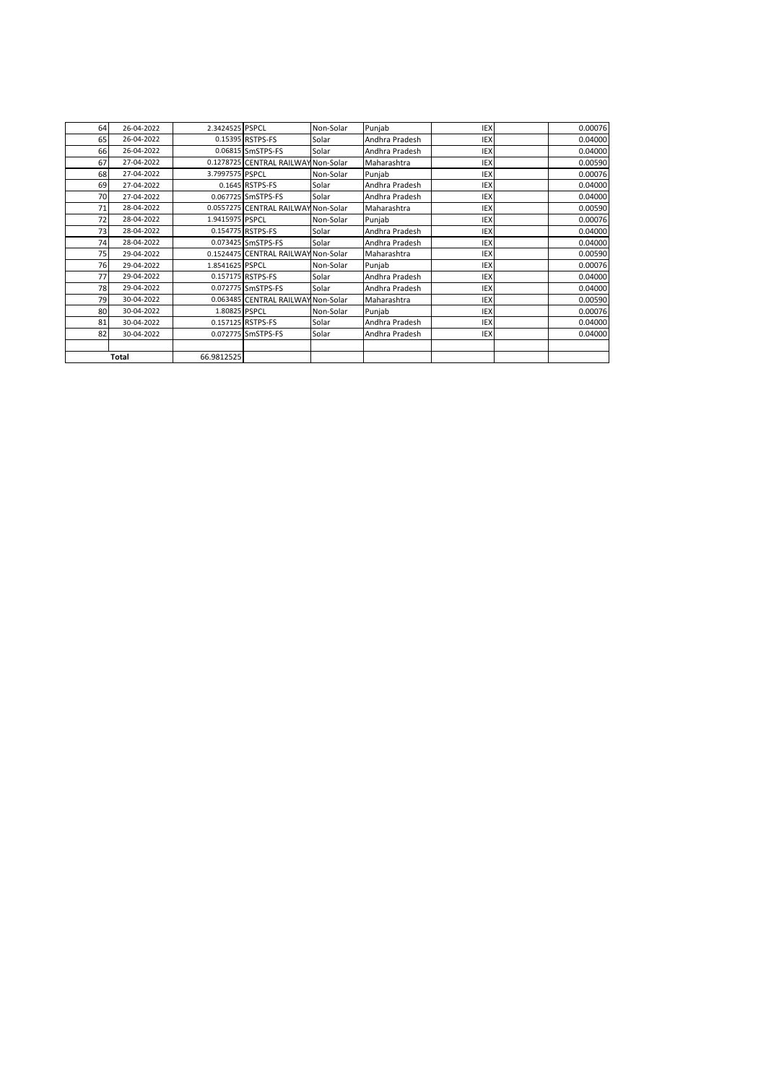| 64 | 26-04-2022   | 2.3424525 PSPCL |                                     | Non-Solar | Punjab         | <b>IEX</b> | 0.00076 |
|----|--------------|-----------------|-------------------------------------|-----------|----------------|------------|---------|
| 65 | 26-04-2022   |                 | 0.15395 RSTPS-FS                    | Solar     | Andhra Pradesh | IEX        | 0.04000 |
| 66 | 26-04-2022   |                 | 0.06815 SmSTPS-FS                   | Solar     | Andhra Pradesh | IEX        | 0.04000 |
| 67 | 27-04-2022   |                 | 0.1278725 CENTRAL RAILWAY Non-Solar |           | Maharashtra    | IEX        | 0.00590 |
| 68 | 27-04-2022   | 3.7997575 PSPCL |                                     | Non-Solar | Punjab         | IEX        | 0.00076 |
| 69 | 27-04-2022   |                 | 0.1645 RSTPS-FS                     | Solar     | Andhra Pradesh | <b>IEX</b> | 0.04000 |
| 70 | 27-04-2022   |                 | 0.067725 SmSTPS-FS                  | Solar     | Andhra Pradesh | <b>IEX</b> | 0.04000 |
| 71 | 28-04-2022   |                 | 0.0557275 CENTRAL RAILWAY Non-Solar |           | Maharashtra    | IEX        | 0.00590 |
| 72 | 28-04-2022   | 1.9415975 PSPCL |                                     | Non-Solar | Punjab         | IEX        | 0.00076 |
| 73 | 28-04-2022   |                 | 0.154775 RSTPS-FS                   | Solar     | Andhra Pradesh | <b>IEX</b> | 0.04000 |
| 74 | 28-04-2022   |                 | 0.073425 SmSTPS-FS                  | Solar     | Andhra Pradesh | <b>IEX</b> | 0.04000 |
| 75 | 29-04-2022   |                 | 0.1524475 CENTRAL RAILWAY Non-Solar |           | Maharashtra    | IEX        | 0.00590 |
| 76 | 29-04-2022   | 1.8541625 PSPCL |                                     | Non-Solar | Punjab         | IEX        | 0.00076 |
| 77 | 29-04-2022   |                 | 0.157175 RSTPS-FS                   | Solar     | Andhra Pradesh | <b>IEX</b> | 0.04000 |
| 78 | 29-04-2022   |                 | 0.072775 SmSTPS-FS                  | Solar     | Andhra Pradesh | <b>IEX</b> | 0.04000 |
| 79 | 30-04-2022   |                 | 0.063485 CENTRAL RAILWAY Non-Solar  |           | Maharashtra    | IEX        | 0.00590 |
| 80 | 30-04-2022   | 1.80825 PSPCL   |                                     | Non-Solar | Punjab         | <b>IEX</b> | 0.00076 |
| 81 | 30-04-2022   |                 | 0.157125 RSTPS-FS                   | Solar     | Andhra Pradesh | <b>IEX</b> | 0.04000 |
| 82 | 30-04-2022   |                 | 0.072775 SmSTPS-FS                  | Solar     | Andhra Pradesh | <b>IEX</b> | 0.04000 |
|    |              |                 |                                     |           |                |            |         |
|    | <b>Total</b> | 66.9812525      |                                     |           |                |            |         |
|    |              |                 |                                     |           |                |            |         |